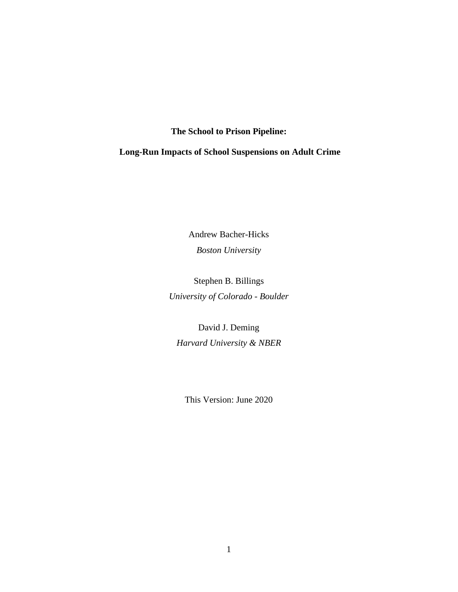# **The School to Prison Pipeline:**

**Long-Run Impacts of School Suspensions on Adult Crime** 

Andrew Bacher-Hicks *Boston University*

Stephen B. Billings *University of Colorado - Boulder*

David J. Deming *Harvard University & NBER*

This Version: June 2020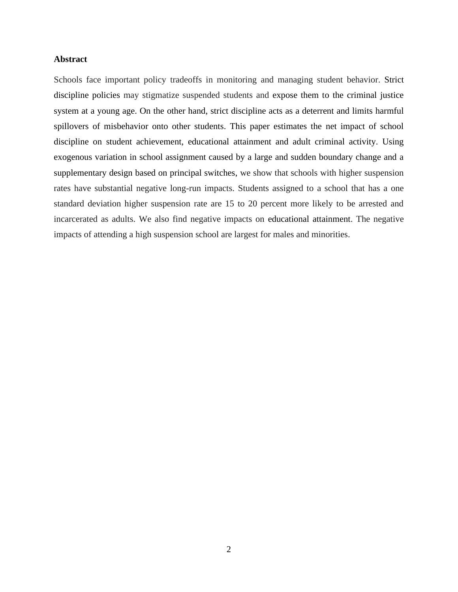## **Abstract**

Schools face important policy tradeoffs in monitoring and managing student behavior. Strict discipline policies may stigmatize suspended students and expose them to the criminal justice system at a young age. On the other hand, strict discipline acts as a deterrent and limits harmful spillovers of misbehavior onto other students. This paper estimates the net impact of school discipline on student achievement, educational attainment and adult criminal activity. Using exogenous variation in school assignment caused by a large and sudden boundary change and a supplementary design based on principal switches, we show that schools with higher suspension rates have substantial negative long-run impacts. Students assigned to a school that has a one standard deviation higher suspension rate are 15 to 20 percent more likely to be arrested and incarcerated as adults. We also find negative impacts on educational attainment. The negative impacts of attending a high suspension school are largest for males and minorities.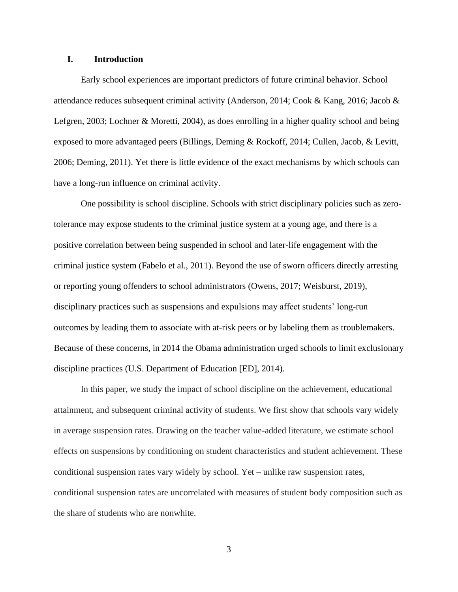## **I. Introduction**

Early school experiences are important predictors of future criminal behavior. School attendance reduces subsequent criminal activity (Anderson, 2014; Cook & Kang, 2016; Jacob & Lefgren, 2003; Lochner & Moretti, 2004), as does enrolling in a higher quality school and being exposed to more advantaged peers (Billings, Deming & Rockoff, 2014; Cullen, Jacob, & Levitt, 2006; Deming, 2011). Yet there is little evidence of the exact mechanisms by which schools can have a long-run influence on criminal activity.

One possibility is school discipline. Schools with strict disciplinary policies such as zerotolerance may expose students to the criminal justice system at a young age, and there is a positive correlation between being suspended in school and later-life engagement with the criminal justice system (Fabelo et al., 2011). Beyond the use of sworn officers directly arresting or reporting young offenders to school administrators (Owens, 2017; Weisburst, 2019), disciplinary practices such as suspensions and expulsions may affect students' long-run outcomes by leading them to associate with at-risk peers or by labeling them as troublemakers. Because of these concerns, in 2014 the Obama administration urged schools to limit exclusionary discipline practices (U.S. Department of Education [ED], 2014).

In this paper, we study the impact of school discipline on the achievement, educational attainment, and subsequent criminal activity of students. We first show that schools vary widely in average suspension rates. Drawing on the teacher value-added literature, we estimate school effects on suspensions by conditioning on student characteristics and student achievement. These conditional suspension rates vary widely by school. Yet – unlike raw suspension rates, conditional suspension rates are uncorrelated with measures of student body composition such as the share of students who are nonwhite.

3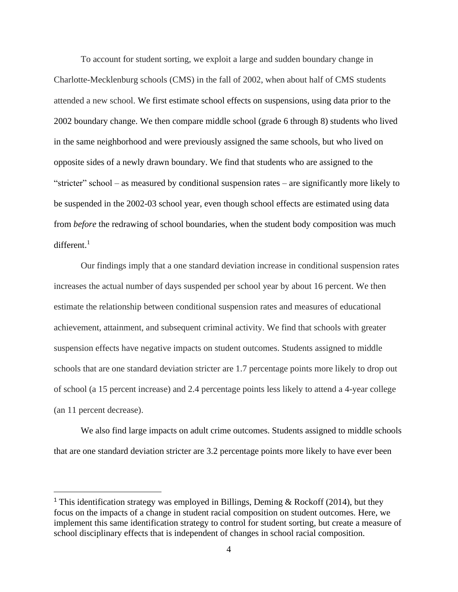To account for student sorting, we exploit a large and sudden boundary change in Charlotte-Mecklenburg schools (CMS) in the fall of 2002, when about half of CMS students attended a new school. We first estimate school effects on suspensions, using data prior to the 2002 boundary change. We then compare middle school (grade 6 through 8) students who lived in the same neighborhood and were previously assigned the same schools, but who lived on opposite sides of a newly drawn boundary. We find that students who are assigned to the "stricter" school – as measured by conditional suspension rates – are significantly more likely to be suspended in the 2002-03 school year, even though school effects are estimated using data from *before* the redrawing of school boundaries, when the student body composition was much different.<sup>1</sup>

Our findings imply that a one standard deviation increase in conditional suspension rates increases the actual number of days suspended per school year by about 16 percent. We then estimate the relationship between conditional suspension rates and measures of educational achievement, attainment, and subsequent criminal activity. We find that schools with greater suspension effects have negative impacts on student outcomes. Students assigned to middle schools that are one standard deviation stricter are 1.7 percentage points more likely to drop out of school (a 15 percent increase) and 2.4 percentage points less likely to attend a 4-year college (an 11 percent decrease).

We also find large impacts on adult crime outcomes. Students assigned to middle schools that are one standard deviation stricter are 3.2 percentage points more likely to have ever been

<sup>&</sup>lt;sup>1</sup> This identification strategy was employed in Billings, Deming & Rockoff (2014), but they focus on the impacts of a change in student racial composition on student outcomes. Here, we implement this same identification strategy to control for student sorting, but create a measure of school disciplinary effects that is independent of changes in school racial composition.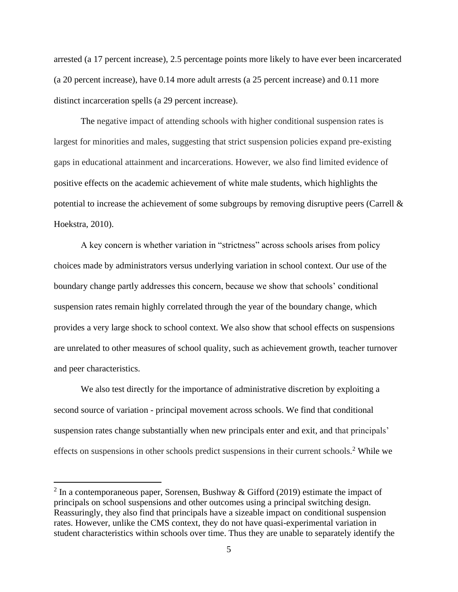arrested (a 17 percent increase), 2.5 percentage points more likely to have ever been incarcerated (a 20 percent increase), have 0.14 more adult arrests (a 25 percent increase) and 0.11 more distinct incarceration spells (a 29 percent increase).

The negative impact of attending schools with higher conditional suspension rates is largest for minorities and males, suggesting that strict suspension policies expand pre-existing gaps in educational attainment and incarcerations. However, we also find limited evidence of positive effects on the academic achievement of white male students, which highlights the potential to increase the achievement of some subgroups by removing disruptive peers (Carrell & Hoekstra, 2010).

A key concern is whether variation in "strictness" across schools arises from policy choices made by administrators versus underlying variation in school context. Our use of the boundary change partly addresses this concern, because we show that schools' conditional suspension rates remain highly correlated through the year of the boundary change, which provides a very large shock to school context. We also show that school effects on suspensions are unrelated to other measures of school quality, such as achievement growth, teacher turnover and peer characteristics.

We also test directly for the importance of administrative discretion by exploiting a second source of variation - principal movement across schools. We find that conditional suspension rates change substantially when new principals enter and exit, and that principals' effects on suspensions in other schools predict suspensions in their current schools.<sup>2</sup> While we

<sup>&</sup>lt;sup>2</sup> In a contemporaneous paper, Sorensen, Bushway & Gifford (2019) estimate the impact of principals on school suspensions and other outcomes using a principal switching design. Reassuringly, they also find that principals have a sizeable impact on conditional suspension rates. However, unlike the CMS context, they do not have quasi-experimental variation in student characteristics within schools over time. Thus they are unable to separately identify the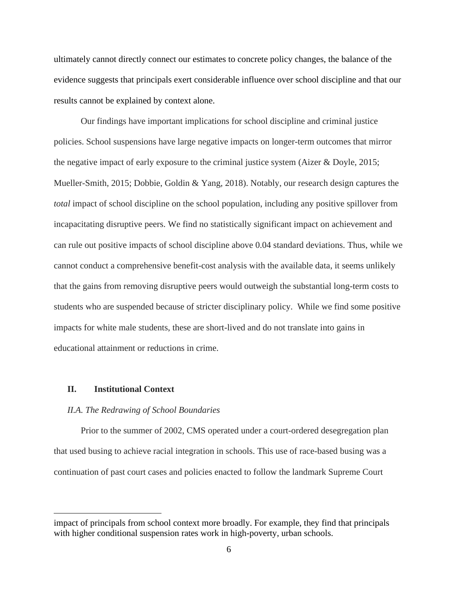ultimately cannot directly connect our estimates to concrete policy changes, the balance of the evidence suggests that principals exert considerable influence over school discipline and that our results cannot be explained by context alone.

Our findings have important implications for school discipline and criminal justice policies. School suspensions have large negative impacts on longer-term outcomes that mirror the negative impact of early exposure to the criminal justice system (Aizer & Doyle, 2015; Mueller-Smith, 2015; Dobbie, Goldin & Yang, 2018). Notably, our research design captures the *total* impact of school discipline on the school population, including any positive spillover from incapacitating disruptive peers. We find no statistically significant impact on achievement and can rule out positive impacts of school discipline above 0.04 standard deviations. Thus, while we cannot conduct a comprehensive benefit-cost analysis with the available data, it seems unlikely that the gains from removing disruptive peers would outweigh the substantial long-term costs to students who are suspended because of stricter disciplinary policy. While we find some positive impacts for white male students, these are short-lived and do not translate into gains in educational attainment or reductions in crime.

## **II. Institutional Context**

#### *II.A. The Redrawing of School Boundaries*

Prior to the summer of 2002, CMS operated under a court-ordered desegregation plan that used busing to achieve racial integration in schools. This use of race-based busing was a continuation of past court cases and policies enacted to follow the landmark Supreme Court

impact of principals from school context more broadly. For example, they find that principals with higher conditional suspension rates work in high-poverty, urban schools.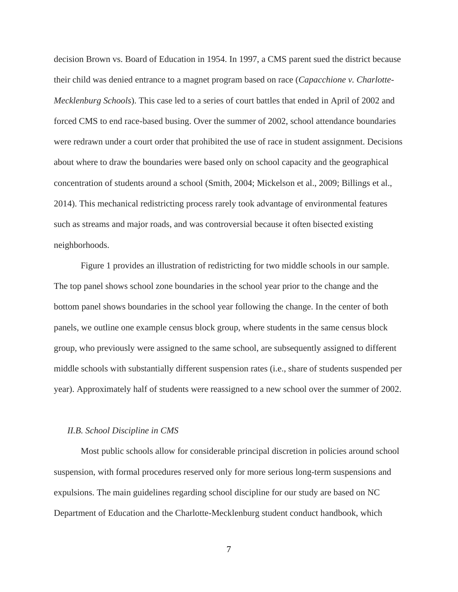decision Brown vs. Board of Education in 1954. In 1997, a CMS parent sued the district because their child was denied entrance to a magnet program based on race (*Capacchione v. Charlotte-Mecklenburg Schools*). This case led to a series of court battles that ended in April of 2002 and forced CMS to end race-based busing. Over the summer of 2002, school attendance boundaries were redrawn under a court order that prohibited the use of race in student assignment. Decisions about where to draw the boundaries were based only on school capacity and the geographical concentration of students around a school (Smith, 2004; Mickelson et al., 2009; Billings et al., 2014). This mechanical redistricting process rarely took advantage of environmental features such as streams and major roads, and was controversial because it often bisected existing neighborhoods.

Figure 1 provides an illustration of redistricting for two middle schools in our sample. The top panel shows school zone boundaries in the school year prior to the change and the bottom panel shows boundaries in the school year following the change. In the center of both panels, we outline one example census block group, where students in the same census block group, who previously were assigned to the same school, are subsequently assigned to different middle schools with substantially different suspension rates (i.e., share of students suspended per year). Approximately half of students were reassigned to a new school over the summer of 2002.

#### *II.B. School Discipline in CMS*

Most public schools allow for considerable principal discretion in policies around school suspension, with formal procedures reserved only for more serious long-term suspensions and expulsions. The main guidelines regarding school discipline for our study are based on NC Department of Education and the Charlotte-Mecklenburg student conduct handbook, which

7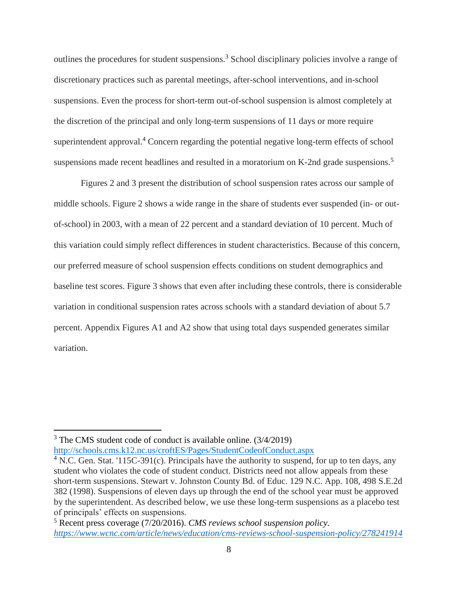outlines the procedures for student suspensions.<sup>3</sup> School disciplinary policies involve a range of discretionary practices such as parental meetings, after-school interventions, and in-school suspensions. Even the process for short-term out-of-school suspension is almost completely at the discretion of the principal and only long-term suspensions of 11 days or more require superintendent approval. <sup>4</sup> Concern regarding the potential negative long-term effects of school suspensions made recent headlines and resulted in a moratorium on K-2nd grade suspensions.<sup>5</sup>

Figures 2 and 3 present the distribution of school suspension rates across our sample of middle schools. Figure 2 shows a wide range in the share of students ever suspended (in- or outof-school) in 2003, with a mean of 22 percent and a standard deviation of 10 percent. Much of this variation could simply reflect differences in student characteristics. Because of this concern, our preferred measure of school suspension effects conditions on student demographics and baseline test scores. Figure 3 shows that even after including these controls, there is considerable variation in conditional suspension rates across schools with a standard deviation of about 5.7 percent. Appendix Figures A1 and A2 show that using total days suspended generates similar variation.

<sup>3</sup> The CMS student code of conduct is available online. (3/4/2019) <http://schools.cms.k12.nc.us/croftES/Pages/StudentCodeofConduct.aspx>

<sup>&</sup>lt;sup>4</sup> N.C. Gen. Stat. '115C-391(c). Principals have the authority to suspend, for up to ten days, any student who violates the code of student conduct. Districts need not allow appeals from these short-term suspensions. Stewart v. Johnston County Bd. of Educ. 129 N.C. App. 108, 498 S.E.2d 382 (1998). Suspensions of eleven days up through the end of the school year must be approved by the superintendent. As described below, we use these long-term suspensions as a placebo test of principals' effects on suspensions.

<sup>5</sup> Recent press coverage (7/20/2016). *CMS reviews school suspension policy. <https://www.wcnc.com/article/news/education/cms-reviews-school-suspension-policy/278241914>*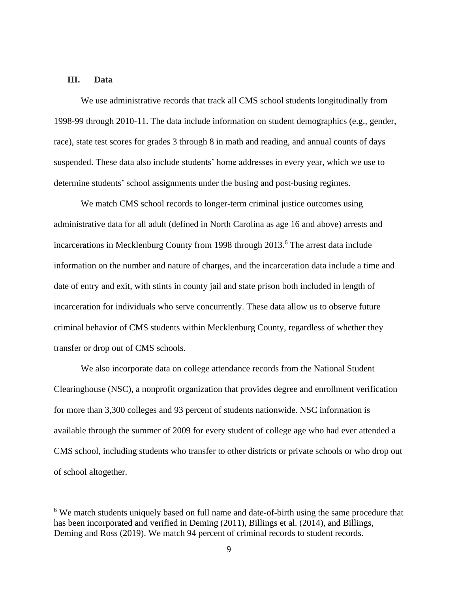## **III. Data**

We use administrative records that track all CMS school students longitudinally from 1998-99 through 2010-11. The data include information on student demographics (e.g., gender, race), state test scores for grades 3 through 8 in math and reading, and annual counts of days suspended. These data also include students' home addresses in every year, which we use to determine students' school assignments under the busing and post-busing regimes.

We match CMS school records to longer-term criminal justice outcomes using administrative data for all adult (defined in North Carolina as age 16 and above) arrests and incarcerations in Mecklenburg County from 1998 through 2013. <sup>6</sup> The arrest data include information on the number and nature of charges, and the incarceration data include a time and date of entry and exit, with stints in county jail and state prison both included in length of incarceration for individuals who serve concurrently. These data allow us to observe future criminal behavior of CMS students within Mecklenburg County, regardless of whether they transfer or drop out of CMS schools.

We also incorporate data on college attendance records from the National Student Clearinghouse (NSC), a nonprofit organization that provides degree and enrollment verification for more than 3,300 colleges and 93 percent of students nationwide. NSC information is available through the summer of 2009 for every student of college age who had ever attended a CMS school, including students who transfer to other districts or private schools or who drop out of school altogether.

<sup>&</sup>lt;sup>6</sup> We match students uniquely based on full name and date-of-birth using the same procedure that has been incorporated and verified in Deming (2011), Billings et al. (2014), and Billings, Deming and Ross (2019). We match 94 percent of criminal records to student records.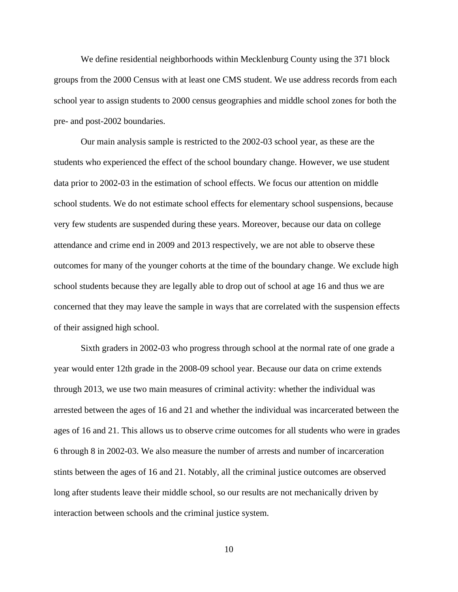We define residential neighborhoods within Mecklenburg County using the 371 block groups from the 2000 Census with at least one CMS student. We use address records from each school year to assign students to 2000 census geographies and middle school zones for both the pre- and post-2002 boundaries.

Our main analysis sample is restricted to the 2002-03 school year, as these are the students who experienced the effect of the school boundary change. However, we use student data prior to 2002-03 in the estimation of school effects. We focus our attention on middle school students. We do not estimate school effects for elementary school suspensions, because very few students are suspended during these years. Moreover, because our data on college attendance and crime end in 2009 and 2013 respectively, we are not able to observe these outcomes for many of the younger cohorts at the time of the boundary change. We exclude high school students because they are legally able to drop out of school at age 16 and thus we are concerned that they may leave the sample in ways that are correlated with the suspension effects of their assigned high school.

Sixth graders in 2002-03 who progress through school at the normal rate of one grade a year would enter 12th grade in the 2008-09 school year. Because our data on crime extends through 2013, we use two main measures of criminal activity: whether the individual was arrested between the ages of 16 and 21 and whether the individual was incarcerated between the ages of 16 and 21. This allows us to observe crime outcomes for all students who were in grades 6 through 8 in 2002-03. We also measure the number of arrests and number of incarceration stints between the ages of 16 and 21. Notably, all the criminal justice outcomes are observed long after students leave their middle school, so our results are not mechanically driven by interaction between schools and the criminal justice system.

10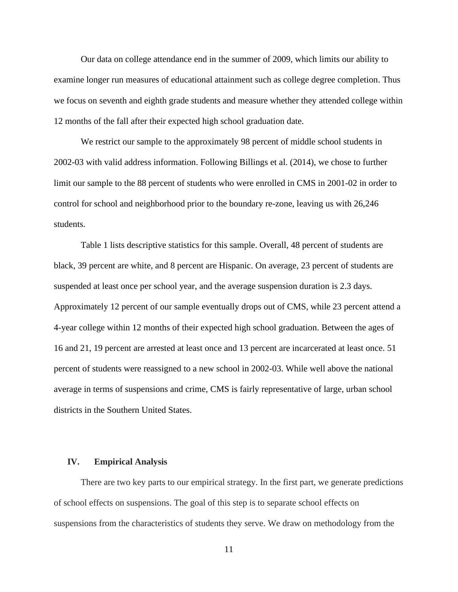Our data on college attendance end in the summer of 2009, which limits our ability to examine longer run measures of educational attainment such as college degree completion. Thus we focus on seventh and eighth grade students and measure whether they attended college within 12 months of the fall after their expected high school graduation date.

We restrict our sample to the approximately 98 percent of middle school students in 2002-03 with valid address information. Following Billings et al. (2014), we chose to further limit our sample to the 88 percent of students who were enrolled in CMS in 2001-02 in order to control for school and neighborhood prior to the boundary re-zone, leaving us with 26,246 students.

Table 1 lists descriptive statistics for this sample. Overall, 48 percent of students are black, 39 percent are white, and 8 percent are Hispanic. On average, 23 percent of students are suspended at least once per school year, and the average suspension duration is 2.3 days. Approximately 12 percent of our sample eventually drops out of CMS, while 23 percent attend a 4-year college within 12 months of their expected high school graduation. Between the ages of 16 and 21, 19 percent are arrested at least once and 13 percent are incarcerated at least once. 51 percent of students were reassigned to a new school in 2002-03. While well above the national average in terms of suspensions and crime, CMS is fairly representative of large, urban school districts in the Southern United States.

## **IV. Empirical Analysis**

There are two key parts to our empirical strategy. In the first part, we generate predictions of school effects on suspensions. The goal of this step is to separate school effects on suspensions from the characteristics of students they serve. We draw on methodology from the

11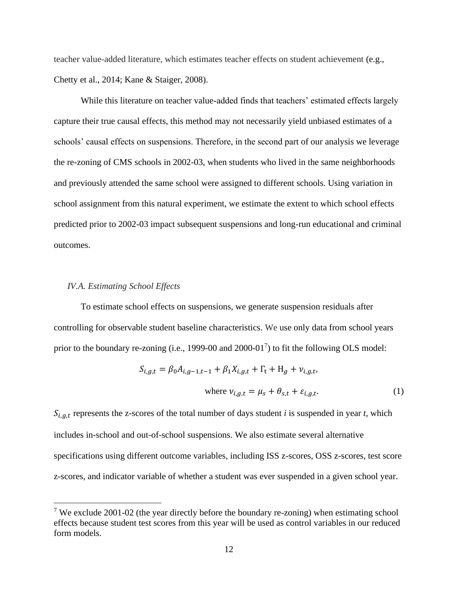teacher value-added literature, which estimates teacher effects on student achievement (e.g., Chetty et al., 2014; Kane & Staiger, 2008).

While this literature on teacher value-added finds that teachers' estimated effects largely capture their true causal effects, this method may not necessarily yield unbiased estimates of a schools' causal effects on suspensions. Therefore, in the second part of our analysis we leverage the re-zoning of CMS schools in 2002-03, when students who lived in the same neighborhoods and previously attended the same school were assigned to different schools. Using variation in school assignment from this natural experiment, we estimate the extent to which school effects predicted prior to 2002-03 impact subsequent suspensions and long-run educational and criminal outcomes.

## *IV.A. Estimating School Effects*

To estimate school effects on suspensions, we generate suspension residuals after controlling for observable student baseline characteristics. We use only data from school years prior to the boundary re-zoning (i.e., 1999-00 and  $2000-01^7$ ) to fit the following OLS model:

$$
S_{i,g,t} = \beta_0 A_{i,g-1,t-1} + \beta_1 X_{i,g,t} + \Gamma_t + H_g + \nu_{i,g,t},
$$
  
where  $\nu_{i,g,t} = \mu_s + \theta_{s,t} + \varepsilon_{i,g,t}.$  (1)

 $S_{i,g,t}$  represents the z-scores of the total number of days student *i* is suspended in year *t*, which includes in-school and out-of-school suspensions. We also estimate several alternative specifications using different outcome variables, including ISS z-scores, OSS z-scores, test score z-scores, and indicator variable of whether a student was ever suspended in a given school year.

<sup>&</sup>lt;sup>7</sup> We exclude 2001-02 (the year directly before the boundary re-zoning) when estimating school effects because student test scores from this year will be used as control variables in our reduced form models.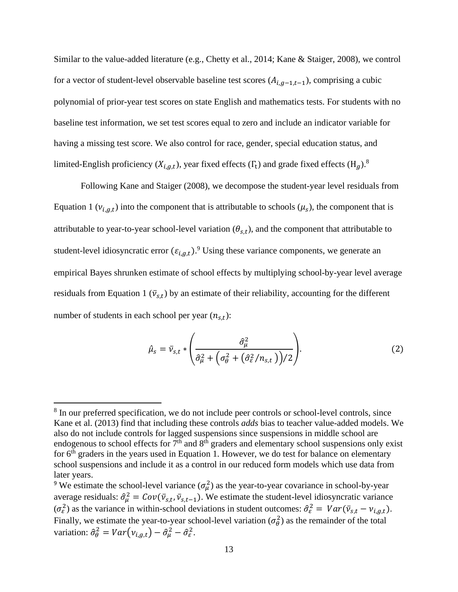Similar to the value-added literature (e.g., Chetty et al., 2014; Kane & Staiger, 2008), we control for a vector of student-level observable baseline test scores  $(A_{i,q-1,t-1})$ , comprising a cubic polynomial of prior-year test scores on state English and mathematics tests. For students with no baseline test information, we set test scores equal to zero and include an indicator variable for having a missing test score. We also control for race, gender, special education status, and limited-English proficiency  $(X_{i,g,t})$ , year fixed effects  $(\Gamma_t)$  and grade fixed effects  $(H_g)$ .<sup>8</sup>

Following Kane and Staiger (2008), we decompose the student-year level residuals from Equation 1 ( $v_{i,g,t}$ ) into the component that is attributable to schools ( $\mu_s$ ), the component that is attributable to year-to-year school-level variation  $(\theta_{s,t})$ , and the component that attributable to student-level idiosyncratic error  $(\varepsilon_{i,g,t})$ .<sup>9</sup> Using these variance components, we generate an empirical Bayes shrunken estimate of school effects by multiplying school-by-year level average residuals from Equation 1 ( $\bar{v}_{s,t}$ ) by an estimate of their reliability, accounting for the different number of students in each school per year  $(n_{s,t})$ :

$$
\hat{\mu}_s = \bar{v}_{s,t} * \left( \frac{\hat{\sigma}_{\mu}^2}{\hat{\sigma}_{\mu}^2 + \left( \sigma_{\theta}^2 + (\hat{\sigma}_{\varepsilon}^2 / n_{s,t}) \right) / 2} \right). \tag{2}
$$

<sup>&</sup>lt;sup>8</sup> In our preferred specification, we do not include peer controls or school-level controls, since Kane et al. (2013) find that including these controls *adds* bias to teacher value-added models. We also do not include controls for lagged suspensions since suspensions in middle school are endogenous to school effects for  $7<sup>th</sup>$  and  $8<sup>th</sup>$  graders and elementary school suspensions only exist for  $6<sup>th</sup>$  graders in the years used in Equation 1. However, we do test for balance on elementary school suspensions and include it as a control in our reduced form models which use data from later years.

<sup>&</sup>lt;sup>9</sup> We estimate the school-level variance  $(\sigma_{\mu}^2)$  as the year-to-year covariance in school-by-year average residuals:  $\hat{\sigma}_{\mu}^2 = Cov(\bar{v}_{s,t}, \bar{v}_{s,t-1})$ . We estimate the student-level idiosyncratic variance  $(\sigma_{\varepsilon}^2)$  as the variance in within-school deviations in student outcomes:  $\hat{\sigma}_{\varepsilon}^2 = Var(\bar{v}_{s,t} - v_{i,g,t})$ . Finally, we estimate the year-to-year school-level variation  $(\sigma_{\theta}^2)$  as the remainder of the total variation:  $\hat{\sigma}_{\theta}^2 = Var(v_{i,g,t}) - \hat{\sigma}_{\mu}^2 - \hat{\sigma}_{\varepsilon}^2$ .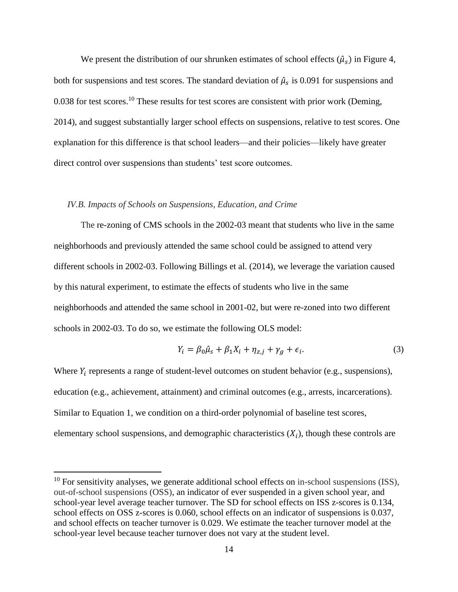We present the distribution of our shrunken estimates of school effects  $(\hat{\mu}_{s})$  in Figure 4, both for suspensions and test scores. The standard deviation of  $\hat{\mu}_s$  is 0.091 for suspensions and 0.038 for test scores.<sup>10</sup> These results for test scores are consistent with prior work (Deming, 2014), and suggest substantially larger school effects on suspensions, relative to test scores. One explanation for this difference is that school leaders—and their policies—likely have greater direct control over suspensions than students' test score outcomes.

#### *IV.B. Impacts of Schools on Suspensions, Education, and Crime*

The re-zoning of CMS schools in the 2002-03 meant that students who live in the same neighborhoods and previously attended the same school could be assigned to attend very different schools in 2002-03. Following Billings et al. (2014), we leverage the variation caused by this natural experiment, to estimate the effects of students who live in the same neighborhoods and attended the same school in 2001-02, but were re-zoned into two different schools in 2002-03. To do so, we estimate the following OLS model:

$$
Y_i = \beta_0 \hat{\mu}_s + \beta_1 X_i + \eta_{z,j} + \gamma_g + \epsilon_i.
$$
\n(3)

Where  $Y_i$  represents a range of student-level outcomes on student behavior (e.g., suspensions), education (e.g., achievement, attainment) and criminal outcomes (e.g., arrests, incarcerations). Similar to Equation 1, we condition on a third-order polynomial of baseline test scores, elementary school suspensions, and demographic characteristics  $(X_i)$ , though these controls are

 $10$  For sensitivity analyses, we generate additional school effects on in-school suspensions (ISS), out-of-school suspensions (OSS), an indicator of ever suspended in a given school year, and school-year level average teacher turnover. The SD for school effects on ISS z-scores is 0.134, school effects on OSS z-scores is 0.060, school effects on an indicator of suspensions is 0.037, and school effects on teacher turnover is 0.029. We estimate the teacher turnover model at the school-year level because teacher turnover does not vary at the student level.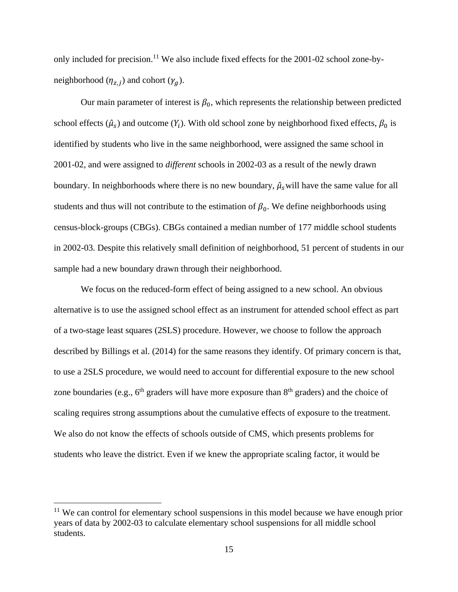only included for precision.<sup>11</sup> We also include fixed effects for the 2001-02 school zone-byneighborhood  $(\eta_{z,j})$  and cohort  $(\gamma_g)$ .

Our main parameter of interest is  $\beta_0$ , which represents the relationship between predicted school effects  $(\hat{\mu}_s)$  and outcome  $(Y_i)$ . With old school zone by neighborhood fixed effects,  $\beta_0$  is identified by students who live in the same neighborhood, were assigned the same school in 2001-02, and were assigned to *different* schools in 2002-03 as a result of the newly drawn boundary. In neighborhoods where there is no new boundary,  $\hat{\mu}_s$  will have the same value for all students and thus will not contribute to the estimation of  $\beta_0$ . We define neighborhoods using census-block-groups (CBGs). CBGs contained a median number of 177 middle school students in 2002-03. Despite this relatively small definition of neighborhood, 51 percent of students in our sample had a new boundary drawn through their neighborhood.

We focus on the reduced-form effect of being assigned to a new school. An obvious alternative is to use the assigned school effect as an instrument for attended school effect as part of a two-stage least squares (2SLS) procedure. However, we choose to follow the approach described by Billings et al. (2014) for the same reasons they identify. Of primary concern is that, to use a 2SLS procedure, we would need to account for differential exposure to the new school zone boundaries (e.g.,  $6<sup>th</sup>$  graders will have more exposure than  $8<sup>th</sup>$  graders) and the choice of scaling requires strong assumptions about the cumulative effects of exposure to the treatment. We also do not know the effects of schools outside of CMS, which presents problems for students who leave the district. Even if we knew the appropriate scaling factor, it would be

 $11$  We can control for elementary school suspensions in this model because we have enough prior years of data by 2002-03 to calculate elementary school suspensions for all middle school students.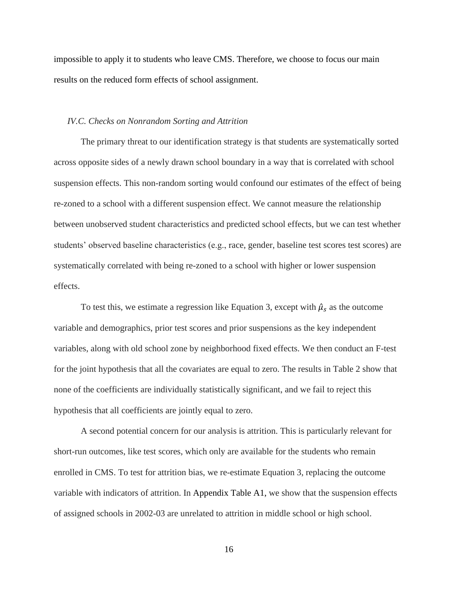impossible to apply it to students who leave CMS. Therefore, we choose to focus our main results on the reduced form effects of school assignment.

# *IV.C. Checks on Nonrandom Sorting and Attrition*

The primary threat to our identification strategy is that students are systematically sorted across opposite sides of a newly drawn school boundary in a way that is correlated with school suspension effects. This non-random sorting would confound our estimates of the effect of being re-zoned to a school with a different suspension effect. We cannot measure the relationship between unobserved student characteristics and predicted school effects, but we can test whether students' observed baseline characteristics (e.g., race, gender, baseline test scores test scores) are systematically correlated with being re-zoned to a school with higher or lower suspension effects.

To test this, we estimate a regression like Equation 3, except with  $\hat{\mu}_s$  as the outcome variable and demographics, prior test scores and prior suspensions as the key independent variables, along with old school zone by neighborhood fixed effects. We then conduct an F-test for the joint hypothesis that all the covariates are equal to zero. The results in Table 2 show that none of the coefficients are individually statistically significant, and we fail to reject this hypothesis that all coefficients are jointly equal to zero.

A second potential concern for our analysis is attrition. This is particularly relevant for short-run outcomes, like test scores, which only are available for the students who remain enrolled in CMS. To test for attrition bias, we re-estimate Equation 3, replacing the outcome variable with indicators of attrition. In Appendix Table A1, we show that the suspension effects of assigned schools in 2002-03 are unrelated to attrition in middle school or high school.

16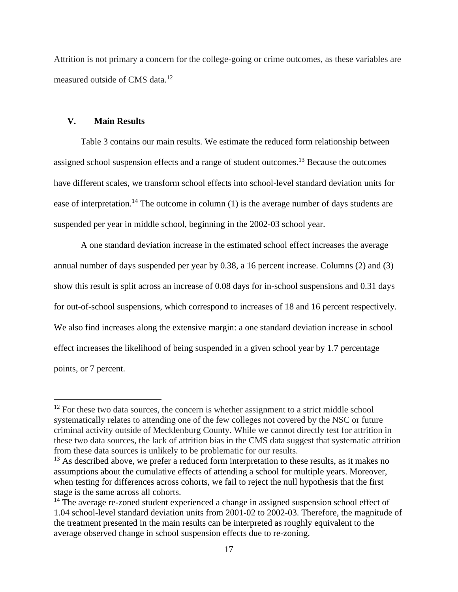Attrition is not primary a concern for the college-going or crime outcomes, as these variables are measured outside of CMS data.<sup>12</sup>

# **V. Main Results**

Table 3 contains our main results. We estimate the reduced form relationship between assigned school suspension effects and a range of student outcomes.<sup>13</sup> Because the outcomes have different scales, we transform school effects into school-level standard deviation units for ease of interpretation.<sup>14</sup> The outcome in column  $(1)$  is the average number of days students are suspended per year in middle school, beginning in the 2002-03 school year.

A one standard deviation increase in the estimated school effect increases the average annual number of days suspended per year by 0.38, a 16 percent increase. Columns (2) and (3) show this result is split across an increase of 0.08 days for in-school suspensions and 0.31 days for out-of-school suspensions, which correspond to increases of 18 and 16 percent respectively. We also find increases along the extensive margin: a one standard deviation increase in school effect increases the likelihood of being suspended in a given school year by 1.7 percentage points, or 7 percent.

 $12$  For these two data sources, the concern is whether assignment to a strict middle school systematically relates to attending one of the few colleges not covered by the NSC or future criminal activity outside of Mecklenburg County. While we cannot directly test for attrition in these two data sources, the lack of attrition bias in the CMS data suggest that systematic attrition from these data sources is unlikely to be problematic for our results.

 $13$  As described above, we prefer a reduced form interpretation to these results, as it makes no assumptions about the cumulative effects of attending a school for multiple years. Moreover, when testing for differences across cohorts, we fail to reject the null hypothesis that the first stage is the same across all cohorts.

 $14$  The average re-zoned student experienced a change in assigned suspension school effect of 1.04 school-level standard deviation units from 2001-02 to 2002-03. Therefore, the magnitude of the treatment presented in the main results can be interpreted as roughly equivalent to the average observed change in school suspension effects due to re-zoning.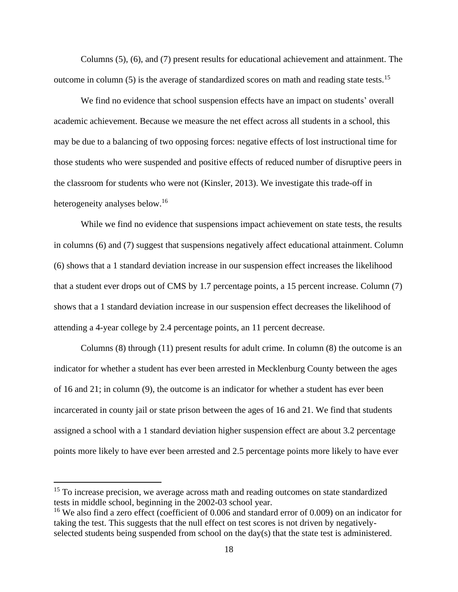Columns (5), (6), and (7) present results for educational achievement and attainment. The outcome in column (5) is the average of standardized scores on math and reading state tests.<sup>15</sup>

We find no evidence that school suspension effects have an impact on students' overall academic achievement. Because we measure the net effect across all students in a school, this may be due to a balancing of two opposing forces: negative effects of lost instructional time for those students who were suspended and positive effects of reduced number of disruptive peers in the classroom for students who were not (Kinsler, 2013). We investigate this trade-off in heterogeneity analyses below.<sup>16</sup>

While we find no evidence that suspensions impact achievement on state tests, the results in columns (6) and (7) suggest that suspensions negatively affect educational attainment. Column (6) shows that a 1 standard deviation increase in our suspension effect increases the likelihood that a student ever drops out of CMS by 1.7 percentage points, a 15 percent increase. Column (7) shows that a 1 standard deviation increase in our suspension effect decreases the likelihood of attending a 4-year college by 2.4 percentage points, an 11 percent decrease.

Columns (8) through (11) present results for adult crime. In column (8) the outcome is an indicator for whether a student has ever been arrested in Mecklenburg County between the ages of 16 and 21; in column (9), the outcome is an indicator for whether a student has ever been incarcerated in county jail or state prison between the ages of 16 and 21. We find that students assigned a school with a 1 standard deviation higher suspension effect are about 3.2 percentage points more likely to have ever been arrested and 2.5 percentage points more likely to have ever

<sup>&</sup>lt;sup>15</sup> To increase precision, we average across math and reading outcomes on state standardized tests in middle school, beginning in the 2002-03 school year.

<sup>&</sup>lt;sup>16</sup> We also find a zero effect (coefficient of 0.006 and standard error of 0.009) on an indicator for taking the test. This suggests that the null effect on test scores is not driven by negativelyselected students being suspended from school on the day(s) that the state test is administered.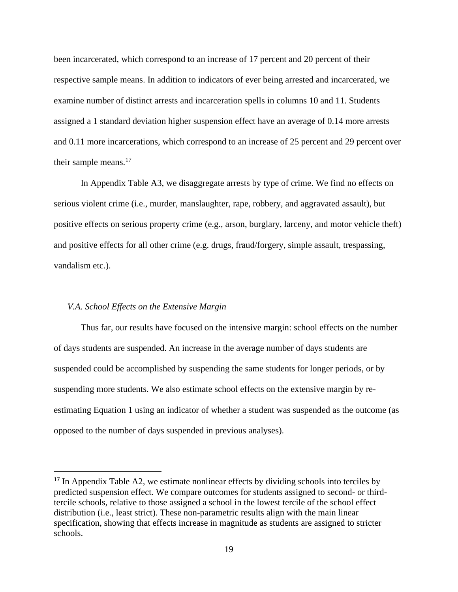been incarcerated, which correspond to an increase of 17 percent and 20 percent of their respective sample means. In addition to indicators of ever being arrested and incarcerated, we examine number of distinct arrests and incarceration spells in columns 10 and 11. Students assigned a 1 standard deviation higher suspension effect have an average of 0.14 more arrests and 0.11 more incarcerations, which correspond to an increase of 25 percent and 29 percent over their sample means.<sup>17</sup>

In Appendix Table A3, we disaggregate arrests by type of crime. We find no effects on serious violent crime (i.e., murder, manslaughter, rape, robbery, and aggravated assault), but positive effects on serious property crime (e.g., arson, burglary, larceny, and motor vehicle theft) and positive effects for all other crime (e.g. drugs, fraud/forgery, simple assault, trespassing, vandalism etc.).

#### *V.A. School Effects on the Extensive Margin*

Thus far, our results have focused on the intensive margin: school effects on the number of days students are suspended. An increase in the average number of days students are suspended could be accomplished by suspending the same students for longer periods, or by suspending more students. We also estimate school effects on the extensive margin by reestimating Equation 1 using an indicator of whether a student was suspended as the outcome (as opposed to the number of days suspended in previous analyses).

<sup>&</sup>lt;sup>17</sup> In Appendix Table A2, we estimate nonlinear effects by dividing schools into terciles by predicted suspension effect. We compare outcomes for students assigned to second- or thirdtercile schools, relative to those assigned a school in the lowest tercile of the school effect distribution (i.e., least strict). These non-parametric results align with the main linear specification, showing that effects increase in magnitude as students are assigned to stricter schools.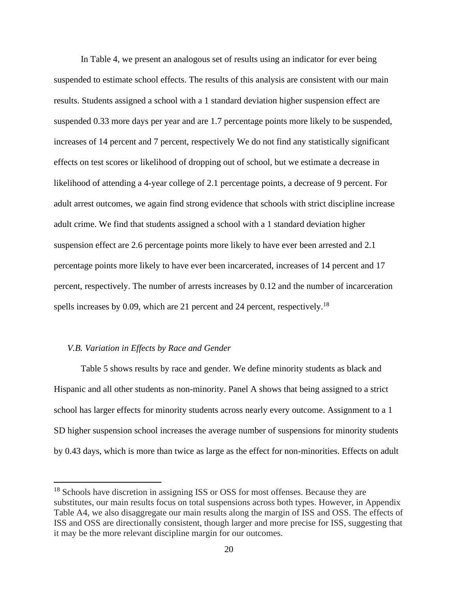In Table 4, we present an analogous set of results using an indicator for ever being suspended to estimate school effects. The results of this analysis are consistent with our main results. Students assigned a school with a 1 standard deviation higher suspension effect are suspended 0.33 more days per year and are 1.7 percentage points more likely to be suspended, increases of 14 percent and 7 percent, respectively We do not find any statistically significant effects on test scores or likelihood of dropping out of school, but we estimate a decrease in likelihood of attending a 4-year college of 2.1 percentage points, a decrease of 9 percent. For adult arrest outcomes, we again find strong evidence that schools with strict discipline increase adult crime. We find that students assigned a school with a 1 standard deviation higher suspension effect are 2.6 percentage points more likely to have ever been arrested and 2.1 percentage points more likely to have ever been incarcerated, increases of 14 percent and 17 percent, respectively. The number of arrests increases by 0.12 and the number of incarceration spells increases by 0.09, which are 21 percent and 24 percent, respectively.<sup>18</sup>

## *V.B. Variation in Effects by Race and Gender*

Table 5 shows results by race and gender. We define minority students as black and Hispanic and all other students as non-minority. Panel A shows that being assigned to a strict school has larger effects for minority students across nearly every outcome. Assignment to a 1 SD higher suspension school increases the average number of suspensions for minority students by 0.43 days, which is more than twice as large as the effect for non-minorities. Effects on adult

<sup>&</sup>lt;sup>18</sup> Schools have discretion in assigning ISS or OSS for most offenses. Because they are substitutes, our main results focus on total suspensions across both types. However, in Appendix Table A4, we also disaggregate our main results along the margin of ISS and OSS. The effects of ISS and OSS are directionally consistent, though larger and more precise for ISS, suggesting that it may be the more relevant discipline margin for our outcomes.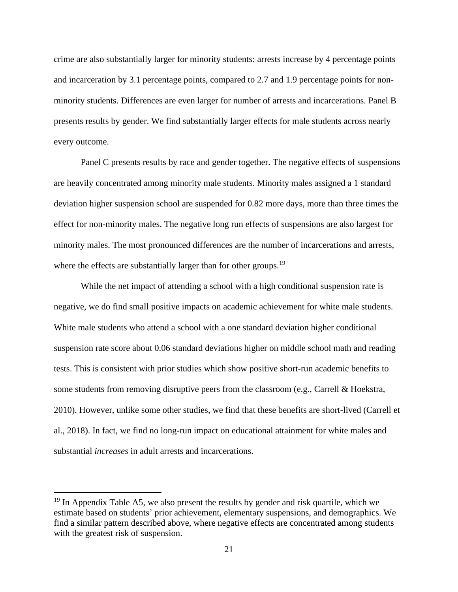crime are also substantially larger for minority students: arrests increase by 4 percentage points and incarceration by 3.1 percentage points, compared to 2.7 and 1.9 percentage points for nonminority students. Differences are even larger for number of arrests and incarcerations. Panel B presents results by gender. We find substantially larger effects for male students across nearly every outcome.

Panel C presents results by race and gender together. The negative effects of suspensions are heavily concentrated among minority male students. Minority males assigned a 1 standard deviation higher suspension school are suspended for 0.82 more days, more than three times the effect for non-minority males. The negative long run effects of suspensions are also largest for minority males. The most pronounced differences are the number of incarcerations and arrests, where the effects are substantially larger than for other groups.<sup>19</sup>

While the net impact of attending a school with a high conditional suspension rate is negative, we do find small positive impacts on academic achievement for white male students. White male students who attend a school with a one standard deviation higher conditional suspension rate score about 0.06 standard deviations higher on middle school math and reading tests. This is consistent with prior studies which show positive short-run academic benefits to some students from removing disruptive peers from the classroom (e.g., Carrell & Hoekstra, 2010). However, unlike some other studies, we find that these benefits are short-lived (Carrell et al., 2018). In fact, we find no long-run impact on educational attainment for white males and substantial *increases* in adult arrests and incarcerations.

 $19$  In Appendix Table A5, we also present the results by gender and risk quartile, which we estimate based on students' prior achievement, elementary suspensions, and demographics. We find a similar pattern described above, where negative effects are concentrated among students with the greatest risk of suspension.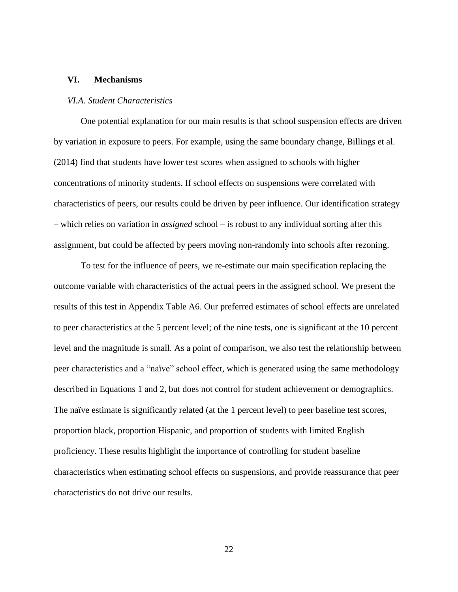## **VI. Mechanisms**

#### *VI.A. Student Characteristics*

One potential explanation for our main results is that school suspension effects are driven by variation in exposure to peers. For example, using the same boundary change, Billings et al. (2014) find that students have lower test scores when assigned to schools with higher concentrations of minority students. If school effects on suspensions were correlated with characteristics of peers, our results could be driven by peer influence. Our identification strategy – which relies on variation in *assigned* school – is robust to any individual sorting after this assignment, but could be affected by peers moving non-randomly into schools after rezoning.

To test for the influence of peers, we re-estimate our main specification replacing the outcome variable with characteristics of the actual peers in the assigned school. We present the results of this test in Appendix Table A6. Our preferred estimates of school effects are unrelated to peer characteristics at the 5 percent level; of the nine tests, one is significant at the 10 percent level and the magnitude is small. As a point of comparison, we also test the relationship between peer characteristics and a "naïve" school effect, which is generated using the same methodology described in Equations 1 and 2, but does not control for student achievement or demographics. The naïve estimate is significantly related (at the 1 percent level) to peer baseline test scores, proportion black, proportion Hispanic, and proportion of students with limited English proficiency. These results highlight the importance of controlling for student baseline characteristics when estimating school effects on suspensions, and provide reassurance that peer characteristics do not drive our results.

22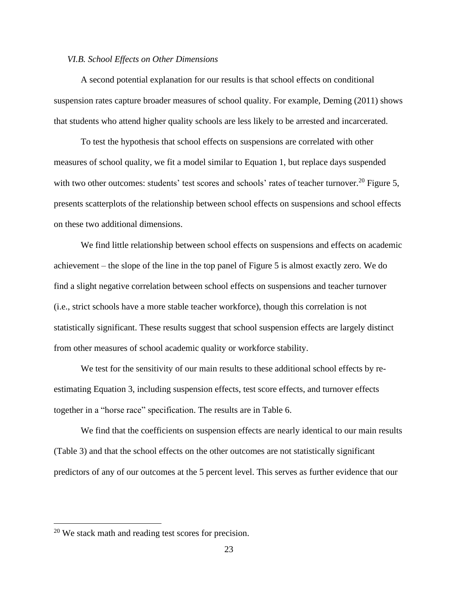#### *VI.B. School Effects on Other Dimensions*

A second potential explanation for our results is that school effects on conditional suspension rates capture broader measures of school quality. For example, Deming (2011) shows that students who attend higher quality schools are less likely to be arrested and incarcerated.

To test the hypothesis that school effects on suspensions are correlated with other measures of school quality, we fit a model similar to Equation 1, but replace days suspended with two other outcomes: students' test scores and schools' rates of teacher turnover.<sup>20</sup> Figure 5, presents scatterplots of the relationship between school effects on suspensions and school effects on these two additional dimensions.

We find little relationship between school effects on suspensions and effects on academic achievement – the slope of the line in the top panel of Figure 5 is almost exactly zero. We do find a slight negative correlation between school effects on suspensions and teacher turnover (i.e., strict schools have a more stable teacher workforce), though this correlation is not statistically significant. These results suggest that school suspension effects are largely distinct from other measures of school academic quality or workforce stability.

We test for the sensitivity of our main results to these additional school effects by reestimating Equation 3, including suspension effects, test score effects, and turnover effects together in a "horse race" specification. The results are in Table 6.

We find that the coefficients on suspension effects are nearly identical to our main results (Table 3) and that the school effects on the other outcomes are not statistically significant predictors of any of our outcomes at the 5 percent level. This serves as further evidence that our

<sup>20</sup> We stack math and reading test scores for precision.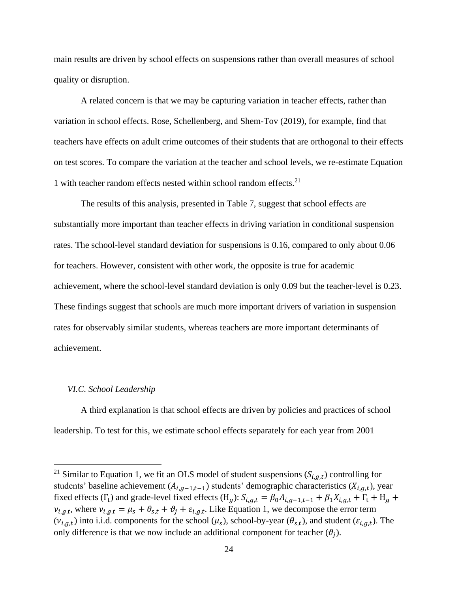main results are driven by school effects on suspensions rather than overall measures of school quality or disruption.

A related concern is that we may be capturing variation in teacher effects, rather than variation in school effects. Rose, Schellenberg, and Shem-Tov (2019), for example, find that teachers have effects on adult crime outcomes of their students that are orthogonal to their effects on test scores. To compare the variation at the teacher and school levels, we re-estimate Equation 1 with teacher random effects nested within school random effects. $2<sup>1</sup>$ 

The results of this analysis, presented in Table 7, suggest that school effects are substantially more important than teacher effects in driving variation in conditional suspension rates. The school-level standard deviation for suspensions is 0.16, compared to only about 0.06 for teachers. However, consistent with other work, the opposite is true for academic achievement, where the school-level standard deviation is only 0.09 but the teacher-level is 0.23. These findings suggest that schools are much more important drivers of variation in suspension rates for observably similar students, whereas teachers are more important determinants of achievement.

#### *VI.C. School Leadership*

A third explanation is that school effects are driven by policies and practices of school leadership. To test for this, we estimate school effects separately for each year from 2001

<sup>&</sup>lt;sup>21</sup> Similar to Equation 1, we fit an OLS model of student suspensions  $(S_{i,g,t})$  controlling for students' baseline achievement  $(A_{i,g-1,t-1})$  students' demographic characteristics  $(X_{i,g,t})$ , year fixed effects ( $\Gamma_t$ ) and grade-level fixed effects (H<sub>g</sub>):  $S_{i,g,t} = \beta_0 A_{i,g-1,t-1} + \beta_1 X_{i,g,t} + \Gamma_t + H_g +$  $v_{i,g,t}$ , where  $v_{i,g,t} = \mu_s + \theta_{s,t} + \vartheta_j + \varepsilon_{i,g,t}$ . Like Equation 1, we decompose the error term  $(v_{i,g,t})$  into i.i.d. components for the school  $(\mu_s)$ , school-by-year  $(\theta_{s,t})$ , and student  $(\varepsilon_{i,g,t})$ . The only difference is that we now include an additional component for teacher  $(\vartheta_j)$ .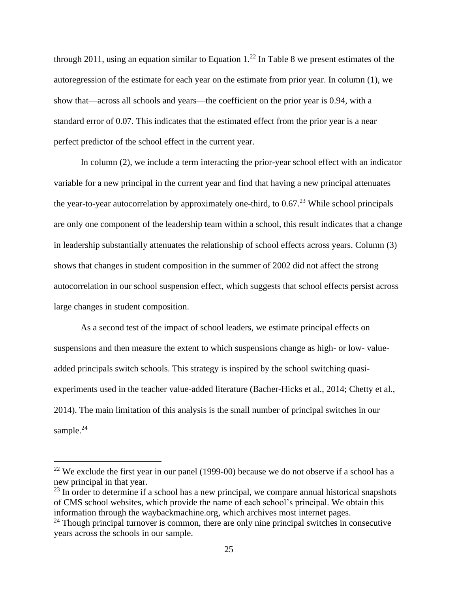through 2011, using an equation similar to Equation  $1<sup>22</sup>$  In Table 8 we present estimates of the autoregression of the estimate for each year on the estimate from prior year. In column (1), we show that—across all schools and years—the coefficient on the prior year is 0.94, with a standard error of 0.07. This indicates that the estimated effect from the prior year is a near perfect predictor of the school effect in the current year.

In column (2), we include a term interacting the prior-year school effect with an indicator variable for a new principal in the current year and find that having a new principal attenuates the year-to-year autocorrelation by approximately one-third, to  $0.67<sup>23</sup>$  While school principals are only one component of the leadership team within a school, this result indicates that a change in leadership substantially attenuates the relationship of school effects across years. Column (3) shows that changes in student composition in the summer of 2002 did not affect the strong autocorrelation in our school suspension effect, which suggests that school effects persist across large changes in student composition.

As a second test of the impact of school leaders, we estimate principal effects on suspensions and then measure the extent to which suspensions change as high- or low- valueadded principals switch schools. This strategy is inspired by the school switching quasiexperiments used in the teacher value-added literature (Bacher-Hicks et al., 2014; Chetty et al., 2014). The main limitation of this analysis is the small number of principal switches in our sample.<sup>24</sup>

 $22$  We exclude the first year in our panel (1999-00) because we do not observe if a school has a new principal in that year.

 $^{23}$  In order to determine if a school has a new principal, we compare annual historical snapshots of CMS school websites, which provide the name of each school's principal. We obtain this information through the waybackmachine.org, which archives most internet pages.

 $24$  Though principal turnover is common, there are only nine principal switches in consecutive years across the schools in our sample.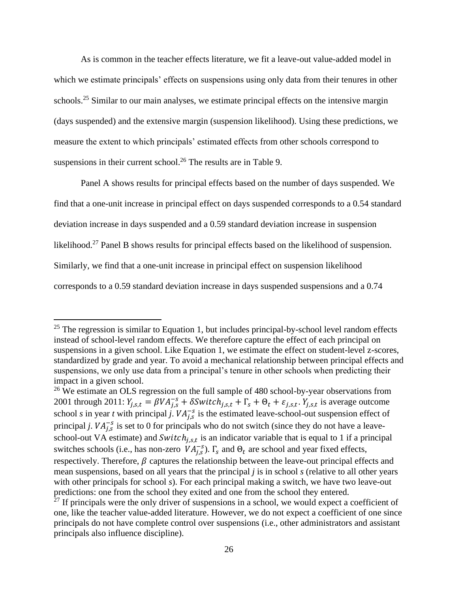As is common in the teacher effects literature, we fit a leave-out value-added model in which we estimate principals' effects on suspensions using only data from their tenures in other schools.<sup>25</sup> Similar to our main analyses, we estimate principal effects on the intensive margin (days suspended) and the extensive margin (suspension likelihood). Using these predictions, we measure the extent to which principals' estimated effects from other schools correspond to suspensions in their current school.<sup>26</sup> The results are in Table 9.

Panel A shows results for principal effects based on the number of days suspended. We find that a one-unit increase in principal effect on days suspended corresponds to a 0.54 standard deviation increase in days suspended and a 0.59 standard deviation increase in suspension likelihood.<sup>27</sup> Panel B shows results for principal effects based on the likelihood of suspension. Similarly, we find that a one-unit increase in principal effect on suspension likelihood corresponds to a 0.59 standard deviation increase in days suspended suspensions and a 0.74

 $25$  The regression is similar to Equation 1, but includes principal-by-school level random effects instead of school-level random effects. We therefore capture the effect of each principal on suspensions in a given school. Like Equation 1, we estimate the effect on student-level z-scores, standardized by grade and year. To avoid a mechanical relationship between principal effects and suspensions, we only use data from a principal's tenure in other schools when predicting their impact in a given school.

 $26$  We estimate an OLS regression on the full sample of 480 school-by-year observations from 2001 through 2011:  $Y_{j,s,t} = \beta V A_{j,s}^{-s} + \delta S with_{j,s,t} + \Gamma_s + \Theta_t + \varepsilon_{j,s,t}$ .  $Y_{j,s,t}$  is average outcome school *s* in year *t* with principal *j*.  $VA_{j,s}^{-s}$  is the estimated leave-school-out suspension effect of principal *j*.  $VA_{j,s}^{-s}$  is set to 0 for principals who do not switch (since they do not have a leaveschool-out VA estimate) and  $Switch_{j,s,t}$  is an indicator variable that is equal to 1 if a principal switches schools (i.e., has non-zero  $VA_{j,s}^{-s}$ ).  $\Gamma_s$  and  $\Theta_t$  are school and year fixed effects, respectively. Therefore,  $\beta$  captures the relationship between the leave-out principal effects and mean suspensions, based on all years that the principal *j* is in school *s* (relative to all other years with other principals for school *s*). For each principal making a switch, we have two leave-out predictions: one from the school they exited and one from the school they entered.

 $27$  If principals were the only driver of suspensions in a school, we would expect a coefficient of one, like the teacher value-added literature. However, we do not expect a coefficient of one since principals do not have complete control over suspensions (i.e., other administrators and assistant principals also influence discipline).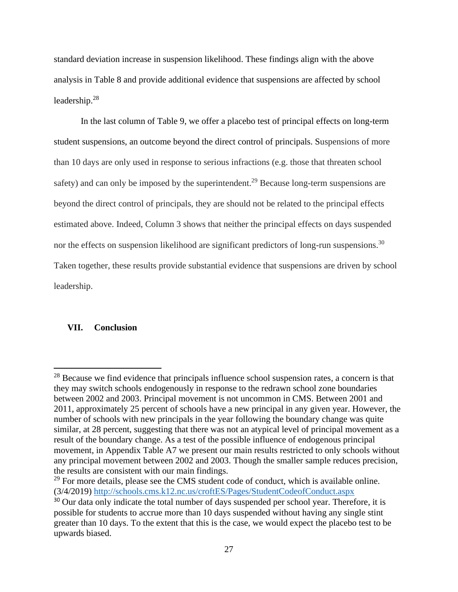standard deviation increase in suspension likelihood. These findings align with the above analysis in Table 8 and provide additional evidence that suspensions are affected by school leadership.<sup>28</sup>

In the last column of Table 9, we offer a placebo test of principal effects on long-term student suspensions, an outcome beyond the direct control of principals. Suspensions of more than 10 days are only used in response to serious infractions (e.g. those that threaten school safety) and can only be imposed by the superintendent.<sup>29</sup> Because long-term suspensions are beyond the direct control of principals, they are should not be related to the principal effects estimated above. Indeed, Column 3 shows that neither the principal effects on days suspended nor the effects on suspension likelihood are significant predictors of long-run suspensions.<sup>30</sup> Taken together, these results provide substantial evidence that suspensions are driven by school leadership.

# **VII. Conclusion**

<sup>&</sup>lt;sup>28</sup> Because we find evidence that principals influence school suspension rates, a concern is that they may switch schools endogenously in response to the redrawn school zone boundaries between 2002 and 2003. Principal movement is not uncommon in CMS. Between 2001 and 2011, approximately 25 percent of schools have a new principal in any given year. However, the number of schools with new principals in the year following the boundary change was quite similar, at 28 percent, suggesting that there was not an atypical level of principal movement as a result of the boundary change. As a test of the possible influence of endogenous principal movement, in Appendix Table A7 we present our main results restricted to only schools without any principal movement between 2002 and 2003. Though the smaller sample reduces precision, the results are consistent with our main findings.

 $29$  For more details, please see the CMS student code of conduct, which is available online. (3/4/2019)<http://schools.cms.k12.nc.us/croftES/Pages/StudentCodeofConduct.aspx>

<sup>&</sup>lt;sup>30</sup> Our data only indicate the total number of days suspended per school year. Therefore, it is possible for students to accrue more than 10 days suspended without having any single stint greater than 10 days. To the extent that this is the case, we would expect the placebo test to be upwards biased.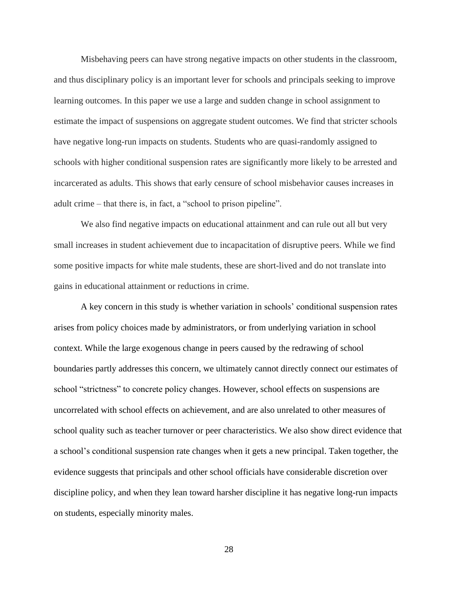Misbehaving peers can have strong negative impacts on other students in the classroom, and thus disciplinary policy is an important lever for schools and principals seeking to improve learning outcomes. In this paper we use a large and sudden change in school assignment to estimate the impact of suspensions on aggregate student outcomes. We find that stricter schools have negative long-run impacts on students. Students who are quasi-randomly assigned to schools with higher conditional suspension rates are significantly more likely to be arrested and incarcerated as adults. This shows that early censure of school misbehavior causes increases in adult crime – that there is, in fact, a "school to prison pipeline".

We also find negative impacts on educational attainment and can rule out all but very small increases in student achievement due to incapacitation of disruptive peers. While we find some positive impacts for white male students, these are short-lived and do not translate into gains in educational attainment or reductions in crime.

A key concern in this study is whether variation in schools' conditional suspension rates arises from policy choices made by administrators, or from underlying variation in school context. While the large exogenous change in peers caused by the redrawing of school boundaries partly addresses this concern, we ultimately cannot directly connect our estimates of school "strictness" to concrete policy changes. However, school effects on suspensions are uncorrelated with school effects on achievement, and are also unrelated to other measures of school quality such as teacher turnover or peer characteristics. We also show direct evidence that a school's conditional suspension rate changes when it gets a new principal. Taken together, the evidence suggests that principals and other school officials have considerable discretion over discipline policy, and when they lean toward harsher discipline it has negative long-run impacts on students, especially minority males.

28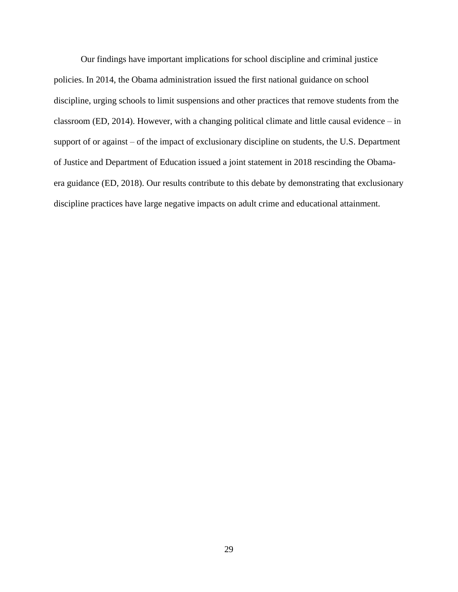Our findings have important implications for school discipline and criminal justice policies. In 2014, the Obama administration issued the first national guidance on school discipline, urging schools to limit suspensions and other practices that remove students from the classroom (ED, 2014). However, with a changing political climate and little causal evidence – in support of or against – of the impact of exclusionary discipline on students, the U.S. Department of Justice and Department of Education issued a joint statement in 2018 rescinding the Obamaera guidance (ED, 2018). Our results contribute to this debate by demonstrating that exclusionary discipline practices have large negative impacts on adult crime and educational attainment.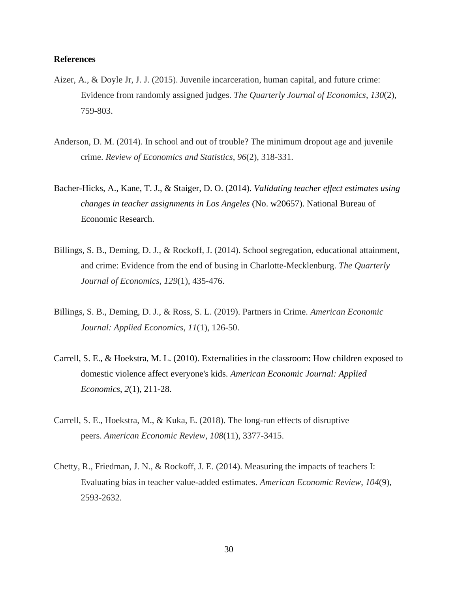## **References**

- Aizer, A., & Doyle Jr, J. J. (2015). Juvenile incarceration, human capital, and future crime: Evidence from randomly assigned judges. *The Quarterly Journal of Economics*, *130*(2), 759-803.
- Anderson, D. M. (2014). In school and out of trouble? The minimum dropout age and juvenile crime. *Review of Economics and Statistics*, *96*(2), 318-331.
- Bacher-Hicks, A., Kane, T. J., & Staiger, D. O. (2014). *Validating teacher effect estimates using changes in teacher assignments in Los Angeles* (No. w20657). National Bureau of Economic Research.
- Billings, S. B., Deming, D. J., & Rockoff, J. (2014). School segregation, educational attainment, and crime: Evidence from the end of busing in Charlotte-Mecklenburg. *The Quarterly Journal of Economics*, *129*(1), 435-476.
- Billings, S. B., Deming, D. J., & Ross, S. L. (2019). Partners in Crime. *American Economic Journal: Applied Economics*, *11*(1), 126-50.
- Carrell, S. E., & Hoekstra, M. L. (2010). Externalities in the classroom: How children exposed to domestic violence affect everyone's kids. *American Economic Journal: Applied Economics*, *2*(1), 211-28.
- Carrell, S. E., Hoekstra, M., & Kuka, E. (2018). The long-run effects of disruptive peers. *American Economic Review*, *108*(11), 3377-3415.
- Chetty, R., Friedman, J. N., & Rockoff, J. E. (2014). Measuring the impacts of teachers I: Evaluating bias in teacher value-added estimates. *American Economic Review*, *104*(9), 2593-2632.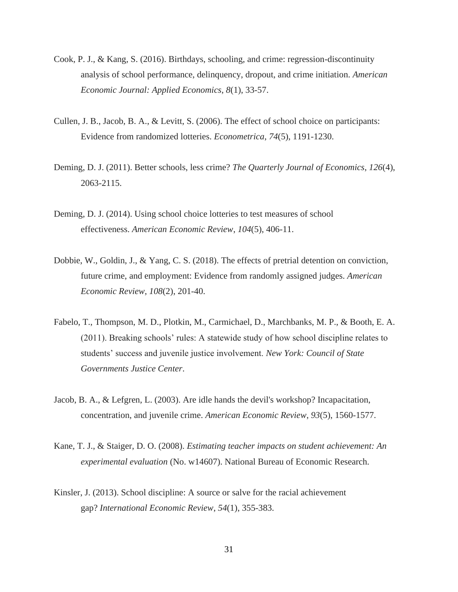- Cook, P. J., & Kang, S. (2016). Birthdays, schooling, and crime: regression-discontinuity analysis of school performance, delinquency, dropout, and crime initiation. *American Economic Journal: Applied Economics*, *8*(1), 33-57.
- Cullen, J. B., Jacob, B. A., & Levitt, S. (2006). The effect of school choice on participants: Evidence from randomized lotteries. *Econometrica*, *74*(5), 1191-1230.
- Deming, D. J. (2011). Better schools, less crime? *The Quarterly Journal of Economics*, *126*(4), 2063-2115.
- Deming, D. J. (2014). Using school choice lotteries to test measures of school effectiveness. *American Economic Review*, *104*(5), 406-11.
- Dobbie, W., Goldin, J., & Yang, C. S. (2018). The effects of pretrial detention on conviction, future crime, and employment: Evidence from randomly assigned judges. *American Economic Review*, *108*(2), 201-40.
- Fabelo, T., Thompson, M. D., Plotkin, M., Carmichael, D., Marchbanks, M. P., & Booth, E. A. (2011). Breaking schools' rules: A statewide study of how school discipline relates to students' success and juvenile justice involvement. *New York: Council of State Governments Justice Center*.
- Jacob, B. A., & Lefgren, L. (2003). Are idle hands the devil's workshop? Incapacitation, concentration, and juvenile crime. *American Economic Review*, *93*(5), 1560-1577.
- Kane, T. J., & Staiger, D. O. (2008). *Estimating teacher impacts on student achievement: An experimental evaluation* (No. w14607). National Bureau of Economic Research.
- Kinsler, J. (2013). School discipline: A source or salve for the racial achievement gap? *International Economic Review*, *54*(1), 355-383.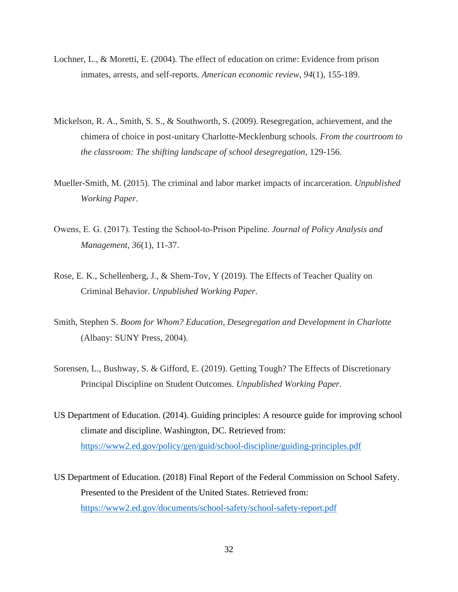- Lochner, L., & Moretti, E. (2004). The effect of education on crime: Evidence from prison inmates, arrests, and self-reports. *American economic review*, *94*(1), 155-189.
- Mickelson, R. A., Smith, S. S., & Southworth, S. (2009). Resegregation, achievement, and the chimera of choice in post-unitary Charlotte-Mecklenburg schools. *From the courtroom to the classroom: The shifting landscape of school desegregation*, 129-156.
- Mueller-Smith, M. (2015). The criminal and labor market impacts of incarceration. *Unpublished Working Paper*.
- Owens, E. G. (2017). Testing the School‐to‐Prison Pipeline. *Journal of Policy Analysis and Management*, *36*(1), 11-37.
- Rose, E. K., Schellenberg, J., & Shem-Tov, Y (2019). The Effects of Teacher Quality on Criminal Behavior. *Unpublished Working Paper*.
- Smith, Stephen S. *Boom for Whom? Education, Desegregation and Development in Charlotte* (Albany: SUNY Press, 2004).
- Sorensen, L., Bushway, S. & Gifford, E. (2019). Getting Tough? The Effects of Discretionary Principal Discipline on Student Outcomes. *Unpublished Working Paper.*
- US Department of Education. (2014). Guiding principles: A resource guide for improving school climate and discipline. Washington, DC. Retrieved from: <https://www2.ed.gov/policy/gen/guid/school-discipline/guiding-principles.pdf>
- US Department of Education. (2018) Final Report of the Federal Commission on School Safety. Presented to the President of the United States. Retrieved from: <https://www2.ed.gov/documents/school-safety/school-safety-report.pdf>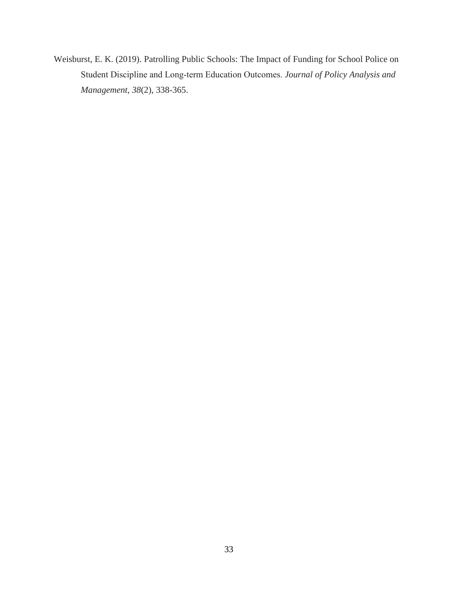Weisburst, E. K. (2019). Patrolling Public Schools: The Impact of Funding for School Police on Student Discipline and Long‐term Education Outcomes. *Journal of Policy Analysis and Management*, *38*(2), 338-365.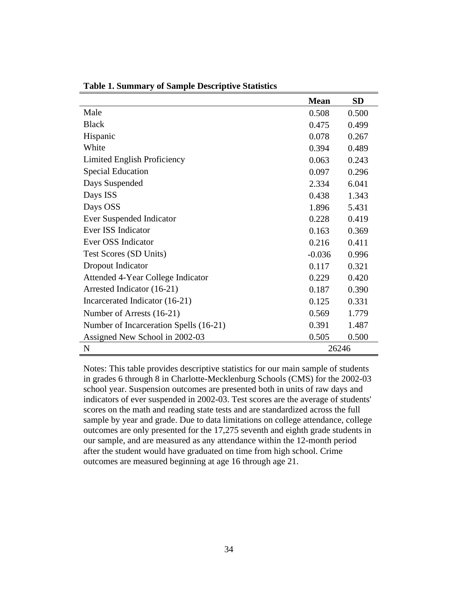|                                        | <b>Mean</b> | <b>SD</b> |
|----------------------------------------|-------------|-----------|
| Male                                   | 0.508       | 0.500     |
| <b>Black</b>                           | 0.475       | 0.499     |
| Hispanic                               | 0.078       | 0.267     |
| White                                  | 0.394       | 0.489     |
| Limited English Proficiency            | 0.063       | 0.243     |
| <b>Special Education</b>               | 0.097       | 0.296     |
| Days Suspended                         | 2.334       | 6.041     |
| Days ISS                               | 0.438       | 1.343     |
| Days OSS                               | 1.896       | 5.431     |
| Ever Suspended Indicator               | 0.228       | 0.419     |
| Ever ISS Indicator                     | 0.163       | 0.369     |
| Ever OSS Indicator                     | 0.216       | 0.411     |
| Test Scores (SD Units)                 | $-0.036$    | 0.996     |
| Dropout Indicator                      | 0.117       | 0.321     |
| Attended 4-Year College Indicator      | 0.229       | 0.420     |
| Arrested Indicator (16-21)             | 0.187       | 0.390     |
| Incarcerated Indicator (16-21)         | 0.125       | 0.331     |
| Number of Arrests (16-21)              | 0.569       | 1.779     |
| Number of Incarceration Spells (16-21) | 0.391       | 1.487     |
| Assigned New School in 2002-03         | 0.505       | 0.500     |
| $\mathbf N$                            | 26246       |           |

**Table 1. Summary of Sample Descriptive Statistics**

Notes: This table provides descriptive statistics for our main sample of students in grades 6 through 8 in Charlotte-Mecklenburg Schools (CMS) for the 2002-03 school year. Suspension outcomes are presented both in units of raw days and indicators of ever suspended in 2002-03. Test scores are the average of students' scores on the math and reading state tests and are standardized across the full sample by year and grade. Due to data limitations on college attendance, college outcomes are only presented for the 17,275 seventh and eighth grade students in our sample, and are measured as any attendance within the 12-month period after the student would have graduated on time from high school. Crime outcomes are measured beginning at age 16 through age 21.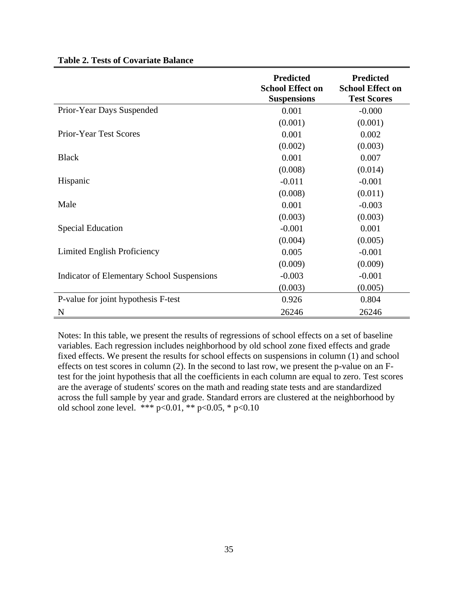|                                                   | <b>Predicted</b><br><b>School Effect on</b><br><b>Suspensions</b> | <b>Predicted</b><br><b>School Effect on</b><br><b>Test Scores</b> |
|---------------------------------------------------|-------------------------------------------------------------------|-------------------------------------------------------------------|
| Prior-Year Days Suspended                         | 0.001                                                             | $-0.000$                                                          |
|                                                   | (0.001)                                                           | (0.001)                                                           |
| <b>Prior-Year Test Scores</b>                     | 0.001                                                             | 0.002                                                             |
|                                                   | (0.002)                                                           | (0.003)                                                           |
| <b>Black</b>                                      | 0.001                                                             | 0.007                                                             |
|                                                   | (0.008)                                                           | (0.014)                                                           |
| Hispanic                                          | $-0.011$                                                          | $-0.001$                                                          |
|                                                   | (0.008)                                                           | (0.011)                                                           |
| Male                                              | 0.001                                                             | $-0.003$                                                          |
|                                                   | (0.003)                                                           | (0.003)                                                           |
| <b>Special Education</b>                          | $-0.001$                                                          | 0.001                                                             |
|                                                   | (0.004)                                                           | (0.005)                                                           |
| Limited English Proficiency                       | 0.005                                                             | $-0.001$                                                          |
|                                                   | (0.009)                                                           | (0.009)                                                           |
| <b>Indicator of Elementary School Suspensions</b> | $-0.003$                                                          | $-0.001$                                                          |
|                                                   | (0.003)                                                           | (0.005)                                                           |
| P-value for joint hypothesis F-test               | 0.926                                                             | 0.804                                                             |
| N                                                 | 26246                                                             | 26246                                                             |

# **Table 2. Tests of Covariate Balance**

Notes: In this table, we present the results of regressions of school effects on a set of baseline variables. Each regression includes neighborhood by old school zone fixed effects and grade fixed effects. We present the results for school effects on suspensions in column (1) and school effects on test scores in column (2). In the second to last row, we present the p-value on an Ftest for the joint hypothesis that all the coefficients in each column are equal to zero. Test scores are the average of students' scores on the math and reading state tests and are standardized across the full sample by year and grade. Standard errors are clustered at the neighborhood by old school zone level. \*\*\*  $p<0.01$ , \*\*  $p<0.05$ , \*  $p<0.10$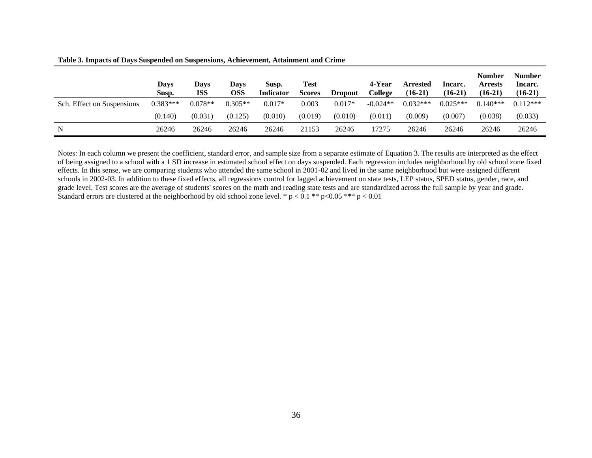|                            | Days<br>Susp. | Days<br><b>ISS</b> | Davs<br>OSS | Susp.<br><b>Indicator</b> | <b>Test</b><br><b>Scores</b> | Dropout  | 4-Year<br>College | <b>Arrested</b><br>$(16-21)$ | Incarc.<br>$(16-21)$ | <b>Number</b><br><b>Arrests</b><br>$(16-21)$ | <b>Number</b><br>Incarc.<br>$(16-21)$ |
|----------------------------|---------------|--------------------|-------------|---------------------------|------------------------------|----------|-------------------|------------------------------|----------------------|----------------------------------------------|---------------------------------------|
| Sch. Effect on Suspensions | $0.383***$    | $0.078**$          | $0.305**$   | $0.017*$                  | 0.003                        | $0.017*$ | $-0.024**$        | $0.032***$                   | $0.025***$           | $0.140***$                                   | $0.112***$                            |
|                            | (0.140)       | (0.031)            | (0.125)     | (0.010)                   | (0.019)                      | (0.010)  | (0.011)           | (0.009)                      | (0.007)              | (0.038)                                      | (0.033)                               |
| N                          | 26246         | 26246              | 26246       | 26246                     | 21153                        | 26246    | 17275             | 26246                        | 26246                | 26246                                        | 26246                                 |

**Table 3. Impacts of Days Suspended on Suspensions, Achievement, Attainment and Crime**

Notes: In each column we present the coefficient, standard error, and sample size from a separate estimate of Equation 3. The results are interpreted as the effect of being assigned to a school with a 1 SD increase in estimated school effect on days suspended. Each regression includes neighborhood by old school zone fixed effects. In this sense, we are comparing students who attended the same school in 2001-02 and lived in the same neighborhood but were assigned different schools in 2002-03. In addition to these fixed effects, all regressions control for lagged achievement on state tests, LEP status, SPED status, gender, race, and grade level. Test scores are the average of students' scores on the math and reading state tests and are standardized across the full sample by year and grade. Standard errors are clustered at the neighborhood by old school zone level. \*  $p < 0.1$  \*\*  $p < 0.05$  \*\*\*  $p < 0.01$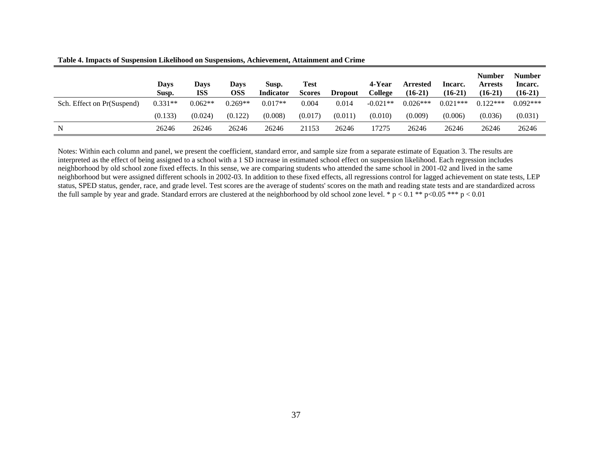|                            | Davs<br>Susp. | Davs<br>ISS | <b>Days</b><br>OSS | Susp.<br><b>Indicator</b> | <b>Test</b><br><b>Scores</b> | <b>Dropout</b> | 4-Year<br>College | <b>Arrested</b><br>$(16-21)$ | Incarc.<br>$(16-21)$ | Number<br><b>Arrests</b><br>$(16-21)$ | <b>Number</b><br>Incarc.<br>$(16-21)$ |
|----------------------------|---------------|-------------|--------------------|---------------------------|------------------------------|----------------|-------------------|------------------------------|----------------------|---------------------------------------|---------------------------------------|
| Sch. Effect on Pr(Suspend) | $0.331**$     | $0.062**$   | $0.269**$          | $0.017**$                 | 0.004                        | 0.014          | $-0.021**$        | $0.026***$                   | $0.021***$           | $0.122***$                            | $0.092***$                            |
|                            | (0.133)       | (0.024)     | (0.122)            | (0.008)                   | (0.017)                      | (0.011)        | (0.010)           | (0.009)                      | (0.006)              | (0.036)                               | (0.031)                               |
| N                          | 26246         | 26246       | 26246              | 26246                     | 21153                        | 26246          | 17275             | 26246                        | 26246                | 26246                                 | 26246                                 |

**Table 4. Impacts of Suspension Likelihood on Suspensions, Achievement, Attainment and Crime**

Notes: Within each column and panel, we present the coefficient, standard error, and sample size from a separate estimate of Equation 3. The results are interpreted as the effect of being assigned to a school with a 1 SD increase in estimated school effect on suspension likelihood. Each regression includes neighborhood by old school zone fixed effects. In this sense, we are comparing students who attended the same school in 2001-02 and lived in the same neighborhood but were assigned different schools in 2002-03. In addition to these fixed effects, all regressions control for lagged achievement on state tests, LEP status, SPED status, gender, race, and grade level. Test scores are the average of students' scores on the math and reading state tests and are standardized across the full sample by year and grade. Standard errors are clustered at the neighborhood by old school zone level. \*  $p < 0.1$  \*\*  $p < 0.05$  \*\*\*  $p < 0.01$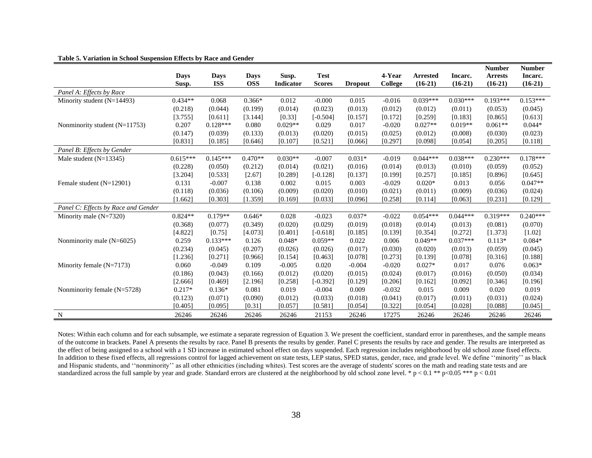|  |  |  |  | Table 5. Variation in School Suspension Effects by Race and Gender |  |
|--|--|--|--|--------------------------------------------------------------------|--|
|  |  |  |  |                                                                    |  |

| <u> 11011 111 Denool Dubpenblon 2111ees o<math>j</math> 21mee mili Oen</u> |            |            |            |           |               |                |          |                 |            | <b>Number</b>  | <b>Number</b> |
|----------------------------------------------------------------------------|------------|------------|------------|-----------|---------------|----------------|----------|-----------------|------------|----------------|---------------|
|                                                                            | Days       | Days       | Days       | Susp.     | <b>Test</b>   |                | 4-Year   | <b>Arrested</b> | Incarc.    | <b>Arrests</b> | Incarc.       |
|                                                                            | Susp.      | <b>ISS</b> | <b>OSS</b> | Indicator | <b>Scores</b> | <b>Dropout</b> | College  | $(16-21)$       | $(16-21)$  | $(16-21)$      | $(16-21)$     |
| Panel A: Effects by Race                                                   |            |            |            |           |               |                |          |                 |            |                |               |
| Minority student $(N=14493)$                                               | $0.434**$  | 0.068      | $0.366*$   | 0.012     | $-0.000$      | 0.015          | $-0.016$ | $0.039***$      | $0.030***$ | $0.193***$     | $0.153***$    |
|                                                                            | (0.218)    | (0.044)    | (0.199)    | (0.014)   | (0.023)       | (0.013)        | (0.012)  | (0.012)         | (0.011)    | (0.053)        | (0.045)       |
|                                                                            | [3.755]    | [0.611]    | [3.144]    | [0.33]    | $[-0.504]$    | [0.157]        | [0.172]  | [0.259]         | [0.183]    | [0.865]        | [0.613]       |
| Nonminority student $(N=11753)$                                            | 0.207      | $0.128***$ | 0.080      | $0.029**$ | 0.029         | 0.017          | $-0.020$ | $0.027**$       | $0.019**$  | $0.061**$      | $0.044*$      |
|                                                                            | (0.147)    | (0.039)    | (0.133)    | (0.013)   | (0.020)       | (0.015)        | (0.025)  | (0.012)         | (0.008)    | (0.030)        | (0.023)       |
|                                                                            | [0.831]    | [0.185]    | [0.646]    | [0.107]   | [0.521]       | [0.066]        | [0.297]  | [0.098]         | [0.054]    | [0.205]        | [0.118]       |
| Panel B: Effects by Gender                                                 |            |            |            |           |               |                |          |                 |            |                |               |
| Male student $(N=13345)$                                                   | $0.615***$ | $0.145***$ | $0.470**$  | $0.030**$ | $-0.007$      | $0.031*$       | $-0.019$ | $0.044***$      | $0.038***$ | $0.230***$     | $0.178***$    |
|                                                                            | (0.228)    | (0.050)    | (0.212)    | (0.014)   | (0.021)       | (0.016)        | (0.014)  | (0.013)         | (0.010)    | (0.059)        | (0.052)       |
|                                                                            | [3.204]    | [0.533]    | [2.67]     | [0.289]   | $[-0.128]$    | [0.137]        | [0.199]  | [0.257]         | [0.185]    | [0.896]        | [0.645]       |
| Female student (N=12901)                                                   | 0.131      | $-0.007$   | 0.138      | 0.002     | 0.015         | 0.003          | $-0.029$ | $0.020*$        | 0.013      | 0.056          | $0.047**$     |
|                                                                            | (0.118)    | (0.036)    | (0.106)    | (0.009)   | (0.020)       | (0.010)        | (0.021)  | (0.011)         | (0.009)    | (0.036)        | (0.024)       |
|                                                                            | [1.662]    | [0.303]    | [1.359]    | [0.169]   | [0.033]       | [0.096]        | [0.258]  | [0.114]         | [0.063]    | [0.231]        | [0.129]       |
| Panel C: Effects by Race and Gender                                        |            |            |            |           |               |                |          |                 |            |                |               |
| Minority male $(N=7320)$                                                   | $0.824**$  | $0.179**$  | $0.646*$   | 0.028     | $-0.023$      | $0.037*$       | $-0.022$ | $0.054***$      | $0.044***$ | $0.319***$     | $0.240***$    |
|                                                                            | (0.368)    | (0.077)    | (0.349)    | (0.020)   | (0.029)       | (0.019)        | (0.018)  | (0.014)         | (0.013)    | (0.081)        | (0.070)       |
|                                                                            | [4.822]    | [0.75]     | [4.073]    | [0.401]   | $[-0.618]$    | [0.185]        | [0.139]  | [0.354]         | [0.272]    | [1.373]        | [1.02]        |
| Nonminority male $(N=6025)$                                                | 0.259      | $0.133***$ | 0.126      | $0.048*$  | $0.059**$     | 0.022          | 0.006    | $0.049**$       | $0.037***$ | $0.113*$       | $0.084*$      |
|                                                                            | (0.234)    | (0.045)    | (0.207)    | (0.026)   | (0.026)       | (0.017)        | (0.030)  | (0.020)         | (0.013)    | (0.059)        | (0.045)       |
|                                                                            | [1.236]    | [0.271]    | [0.966]    | [0.154]   | [0.463]       | [0.078]        | [0.273]  | [0.139]         | [0.078]    | [0.316]        | [0.188]       |
| Minority female $(N=7173)$                                                 | 0.060      | $-0.049$   | 0.109      | $-0.005$  | 0.020         | $-0.004$       | $-0.020$ | $0.027*$        | 0.017      | 0.076          | $0.063*$      |
|                                                                            | (0.186)    | (0.043)    | (0.166)    | (0.012)   | (0.020)       | (0.015)        | (0.024)  | (0.017)         | (0.016)    | (0.050)        | (0.034)       |
|                                                                            | [2.666]    | [0.469]    | [2.196]    | [0.258]   | $[-0.392]$    | [0.129]        | [0.206]  | [0.162]         | [0.092]    | [0.346]        | [0.196]       |
| Nonminority female $(N=5728)$                                              | $0.217*$   | $0.136*$   | 0.081      | 0.019     | $-0.004$      | 0.009          | $-0.032$ | 0.015           | 0.009      | 0.020          | 0.019         |
|                                                                            | (0.123)    | (0.071)    | (0.090)    | (0.012)   | (0.033)       | (0.018)        | (0.041)  | (0.017)         | (0.011)    | (0.031)        | (0.024)       |
|                                                                            | [0.405]    | [0.095]    | [0.31]     | [0.057]   | [0.581]       | [0.054]        | [0.322]  | [0.054]         | [0.028]    | [0.088]        | [0.045]       |
| $\mathbf N$                                                                | 26246      | 26246      | 26246      | 26246     | 21153         | 26246          | 17275    | 26246           | 26246      | 26246          | 26246         |

Notes: Within each column and for each subsample, we estimate a separate regression of Equation 3. We present the coefficient, standard error in parentheses, and the sample means of the outcome in brackets. Panel A presents the results by race. Panel B presents the results by gender. Panel C presents the results by race and gender. The results are interpreted as the effect of being assigned to a school with a 1 SD increase in estimated school effect on days suspended. Each regression includes neighborhood by old school zone fixed effects. In addition to these fixed effects, all regressions control for lagged achievement on state tests, LEP status, SPED status, gender, race, and grade level. We define ''minority'' as black and Hispanic students, and ''nonminority'' as all other ethnicities (including whites). Test scores are the average of students' scores on the math and reading state tests and are standardized across the full sample by year and grade. Standard errors are clustered at the neighborhood by old school zone level. \* p < 0.1 \*\* p < 0.05 \*\*\* p < 0.01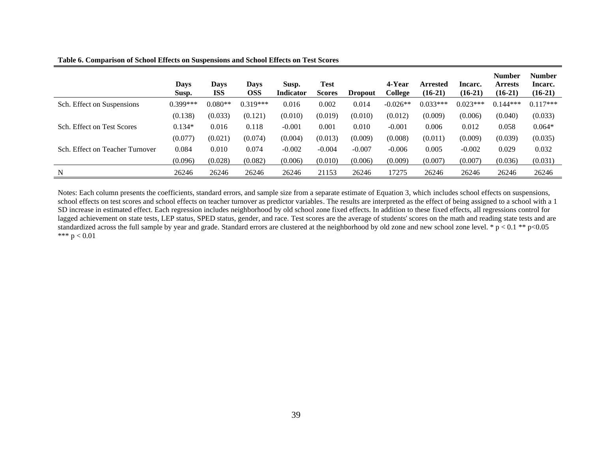| Table 6. Comparison of School Effects on Suspensions and School Effects on Test Scores |  |
|----------------------------------------------------------------------------------------|--|
|                                                                                        |  |

|                                 | <b>Days</b><br>Susp. | Days<br><b>ISS</b> | <b>Days</b><br><b>OSS</b> | Susp.<br><b>Indicator</b> | <b>Test</b><br><b>Scores</b> | <b>Dropout</b> | 4-Year<br>College | <b>Arrested</b><br>$(16-21)$ | Incarc.<br>$(16-21)$ | <b>Number</b><br><b>Arrests</b><br>$(16-21)$ | <b>Number</b><br>Incarc.<br>$(16-21)$ |
|---------------------------------|----------------------|--------------------|---------------------------|---------------------------|------------------------------|----------------|-------------------|------------------------------|----------------------|----------------------------------------------|---------------------------------------|
| Sch. Effect on Suspensions      | $0.399***$           | $0.080**$          | $0.319***$                | 0.016                     | 0.002                        | 0.014          | $-0.026**$        | $0.033***$                   | $0.023***$           | $0.144***$                                   | $0.117***$                            |
|                                 | (0.138)              | (0.033)            | (0.121)                   | (0.010)                   | (0.019)                      | (0.010)        | (0.012)           | (0.009)                      | (0.006)              | (0.040)                                      | (0.033)                               |
| Sch. Effect on Test Scores      | $0.134*$             | 0.016              | 0.118                     | $-0.001$                  | 0.001                        | 0.010          | $-0.001$          | 0.006                        | 0.012                | 0.058                                        | $0.064*$                              |
|                                 | (0.077)              | (0.021)            | (0.074)                   | (0.004)                   | (0.013)                      | (0.009)        | (0.008)           | (0.011)                      | (0.009)              | (0.039)                                      | (0.035)                               |
| Sch. Effect on Teacher Turnover | 0.084                | 0.010              | 0.074                     | $-0.002$                  | $-0.004$                     | $-0.007$       | $-0.006$          | 0.005                        | $-0.002$             | 0.029                                        | 0.032                                 |
|                                 | (0.096)              | (0.028)            | (0.082)                   | (0.006)                   | (0.010)                      | (0.006)        | (0.009)           | (0.007)                      | (0.007)              | (0.036)                                      | (0.031)                               |
| N                               | 26246                | 26246              | 26246                     | 26246                     | 21153                        | 26246          | 17275             | 26246                        | 26246                | 26246                                        | 26246                                 |

Notes: Each column presents the coefficients, standard errors, and sample size from a separate estimate of Equation 3, which includes school effects on suspensions, school effects on test scores and school effects on teacher turnover as predictor variables. The results are interpreted as the effect of being assigned to a school with a 1 SD increase in estimated effect. Each regression includes neighborhood by old school zone fixed effects. In addition to these fixed effects, all regressions control for lagged achievement on state tests, LEP status, SPED status, gender, and race. Test scores are the average of students' scores on the math and reading state tests and are standardized across the full sample by year and grade. Standard errors are clustered at the neighborhood by old zone and new school zone level. \*  $p < 0.1$  \*\*  $p < 0.05$ \*\*\*  $p < 0.01$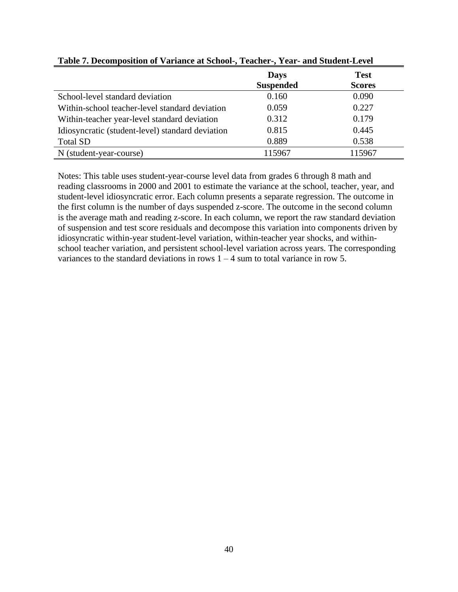|                                                  | <b>Days</b><br><b>Suspended</b> | <b>Test</b><br><b>Scores</b> |
|--------------------------------------------------|---------------------------------|------------------------------|
| School-level standard deviation                  | 0.160                           | 0.090                        |
| Within-school teacher-level standard deviation   | 0.059                           | 0.227                        |
| Within-teacher year-level standard deviation     | 0.312                           | 0.179                        |
| Idiosyncratic (student-level) standard deviation | 0.815                           | 0.445                        |
| <b>Total SD</b>                                  | 0.889                           | 0.538                        |
| N (student-year-course)                          | 115967                          | 115967                       |

**Table 7. Decomposition of Variance at School-, Teacher-, Year- and Student-Level**

Notes: This table uses student-year-course level data from grades 6 through 8 math and reading classrooms in 2000 and 2001 to estimate the variance at the school, teacher, year, and student-level idiosyncratic error. Each column presents a separate regression. The outcome in the first column is the number of days suspended z-score. The outcome in the second column is the average math and reading z-score. In each column, we report the raw standard deviation of suspension and test score residuals and decompose this variation into components driven by idiosyncratic within-year student-level variation, within-teacher year shocks, and withinschool teacher variation, and persistent school-level variation across years. The corresponding variances to the standard deviations in rows  $1 - 4$  sum to total variance in row 5.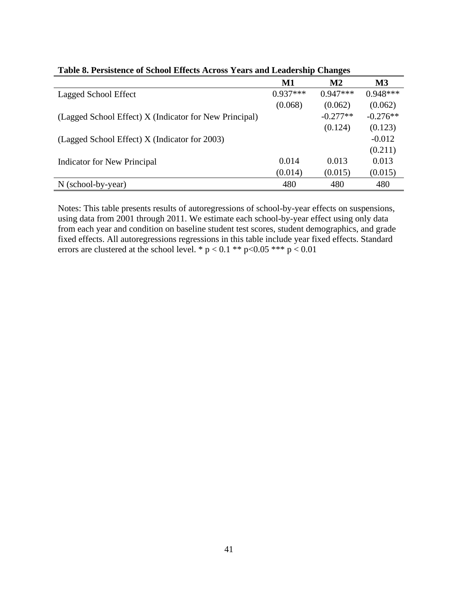|                                                        | $\mathbf{M1}$ | $\mathbf{M2}$ | $\mathbf{M}3$ |
|--------------------------------------------------------|---------------|---------------|---------------|
| Lagged School Effect                                   | $0.937***$    | $0.947***$    | $0.948***$    |
|                                                        | (0.068)       | (0.062)       | (0.062)       |
| (Lagged School Effect) X (Indicator for New Principal) |               | $-0.277**$    | $-0.276**$    |
|                                                        |               | (0.124)       | (0.123)       |
| (Lagged School Effect) X (Indicator for 2003)          |               |               | $-0.012$      |
|                                                        |               |               | (0.211)       |
| Indicator for New Principal                            | 0.014         | 0.013         | 0.013         |
|                                                        | (0.014)       | (0.015)       | (0.015)       |
| $N$ (school-by-year)                                   | 480           | 480           | 480           |

| Table 8. Persistence of School Effects Across Years and Leadership Changes |  |  |  |  |  |  |  |  |  |  |
|----------------------------------------------------------------------------|--|--|--|--|--|--|--|--|--|--|
|----------------------------------------------------------------------------|--|--|--|--|--|--|--|--|--|--|

Notes: This table presents results of autoregressions of school-by-year effects on suspensions, using data from 2001 through 2011. We estimate each school-by-year effect using only data from each year and condition on baseline student test scores, student demographics, and grade fixed effects. All autoregressions regressions in this table include year fixed effects. Standard errors are clustered at the school level. \*  $p < 0.1$  \*\*  $p < 0.05$  \*\*\*  $p < 0.01$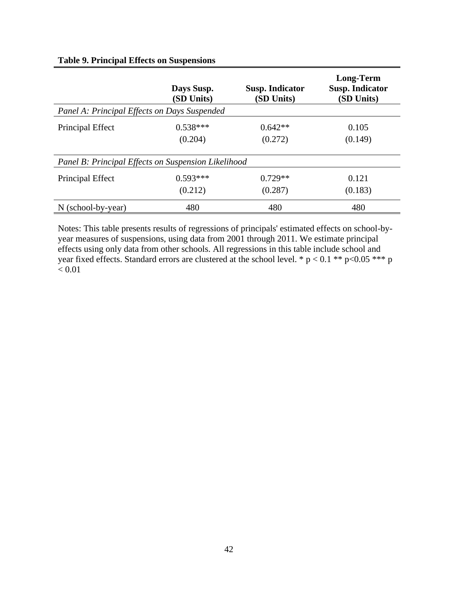|                                                     | Days Susp.<br>(SD Units) | <b>Susp. Indicator</b><br>(SD Units) | <b>Long-Term</b><br><b>Susp. Indicator</b><br>(SD Units) |
|-----------------------------------------------------|--------------------------|--------------------------------------|----------------------------------------------------------|
| Panel A: Principal Effects on Days Suspended        |                          |                                      |                                                          |
| Principal Effect                                    | $0.538***$               | $0.642**$                            | 0.105                                                    |
|                                                     | (0.204)                  | (0.272)                              | (0.149)                                                  |
| Panel B: Principal Effects on Suspension Likelihood |                          |                                      |                                                          |
| Principal Effect                                    | $0.593***$               | $0.729**$                            | 0.121                                                    |
|                                                     | (0.212)                  | (0.287)                              | (0.183)                                                  |
| $N$ (school-by-year)                                | 480                      | 480                                  | 480                                                      |

# **Table 9. Principal Effects on Suspensions**

Notes: This table presents results of regressions of principals' estimated effects on school-byyear measures of suspensions, using data from 2001 through 2011. We estimate principal effects using only data from other schools. All regressions in this table include school and year fixed effects. Standard errors are clustered at the school level. \*  $p < 0.1$  \*\*  $p < 0.05$  \*\*\* p  $< 0.01$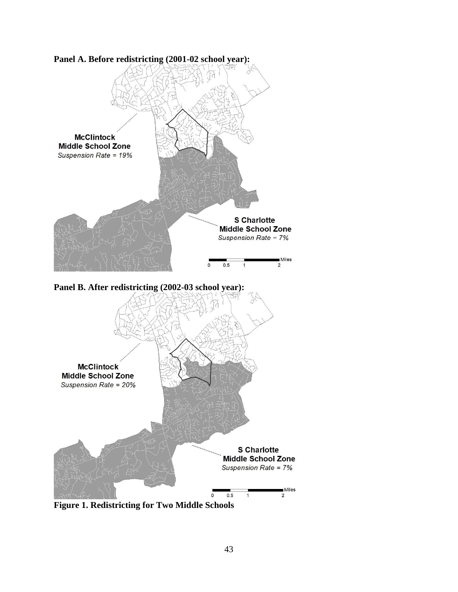

**Figure 1. Redistricting for Two Middle Schools**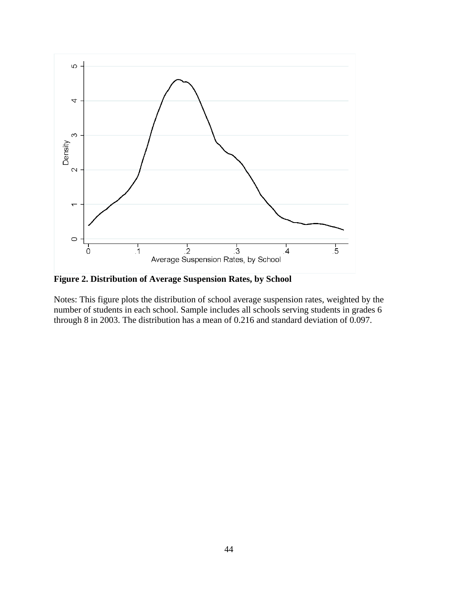

**Figure 2. Distribution of Average Suspension Rates, by School**

Notes: This figure plots the distribution of school average suspension rates, weighted by the number of students in each school. Sample includes all schools serving students in grades 6 through 8 in 2003. The distribution has a mean of 0.216 and standard deviation of 0.097.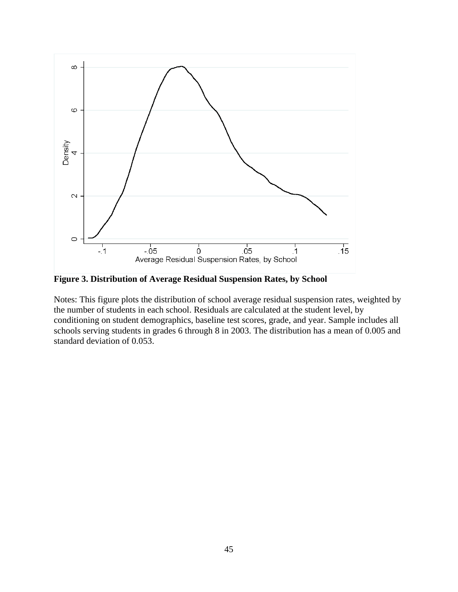

**Figure 3. Distribution of Average Residual Suspension Rates, by School**

Notes: This figure plots the distribution of school average residual suspension rates, weighted by the number of students in each school. Residuals are calculated at the student level, by conditioning on student demographics, baseline test scores, grade, and year. Sample includes all schools serving students in grades 6 through 8 in 2003. The distribution has a mean of 0.005 and standard deviation of 0.053.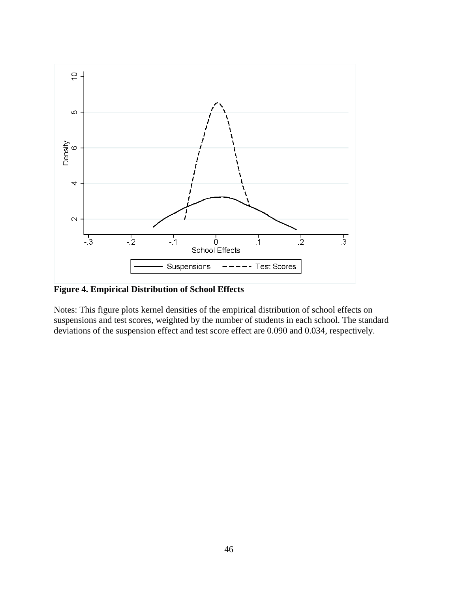

**Figure 4. Empirical Distribution of School Effects**

Notes: This figure plots kernel densities of the empirical distribution of school effects on suspensions and test scores, weighted by the number of students in each school. The standard deviations of the suspension effect and test score effect are 0.090 and 0.034, respectively.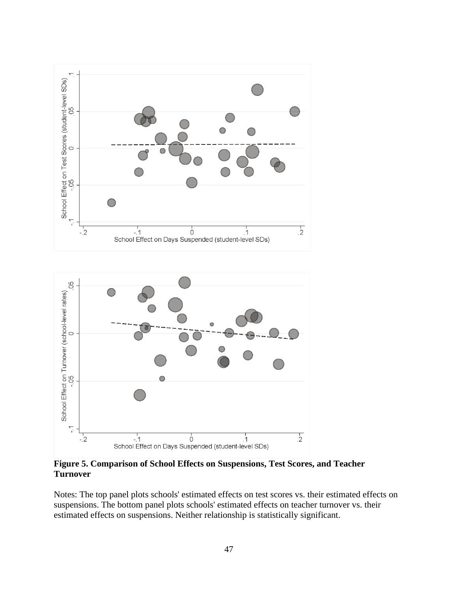



**Figure 5. Comparison of School Effects on Suspensions, Test Scores, and Teacher Turnover**

Notes: The top panel plots schools' estimated effects on test scores vs. their estimated effects on suspensions. The bottom panel plots schools' estimated effects on teacher turnover vs. their estimated effects on suspensions. Neither relationship is statistically significant.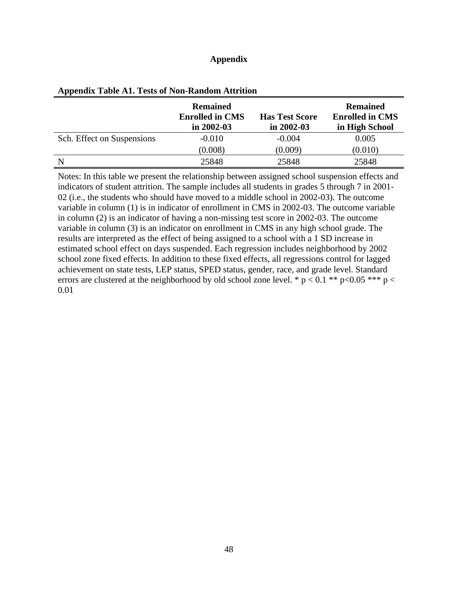# **Appendix**

|                            | <b>Remained</b><br><b>Enrolled in CMS</b><br>in $2002 - 03$ | <b>Has Test Score</b><br>in $2002 - 03$ | <b>Remained</b><br><b>Enrolled in CMS</b><br>in High School |
|----------------------------|-------------------------------------------------------------|-----------------------------------------|-------------------------------------------------------------|
| Sch. Effect on Suspensions | $-0.010$                                                    | $-0.004$                                | 0.005                                                       |
|                            | (0.008)                                                     | (0.009)                                 | (0.010)                                                     |
| N                          | 25848                                                       | 25848                                   | 25848                                                       |

|  |  |  |  | <b>Appendix Table A1. Tests of Non-Random Attrition</b> |
|--|--|--|--|---------------------------------------------------------|
|--|--|--|--|---------------------------------------------------------|

Notes: In this table we present the relationship between assigned school suspension effects and indicators of student attrition. The sample includes all students in grades 5 through 7 in 2001- 02 (i.e., the students who should have moved to a middle school in 2002-03). The outcome variable in column (1) is in indicator of enrollment in CMS in 2002-03. The outcome variable in column (2) is an indicator of having a non-missing test score in 2002-03. The outcome variable in column (3) is an indicator on enrollment in CMS in any high school grade. The results are interpreted as the effect of being assigned to a school with a 1 SD increase in estimated school effect on days suspended. Each regression includes neighborhood by 2002 school zone fixed effects. In addition to these fixed effects, all regressions control for lagged achievement on state tests, LEP status, SPED status, gender, race, and grade level. Standard errors are clustered at the neighborhood by old school zone level. \*  $p < 0.1$  \*\*  $p < 0.05$  \*\*\*  $p <$ 0.01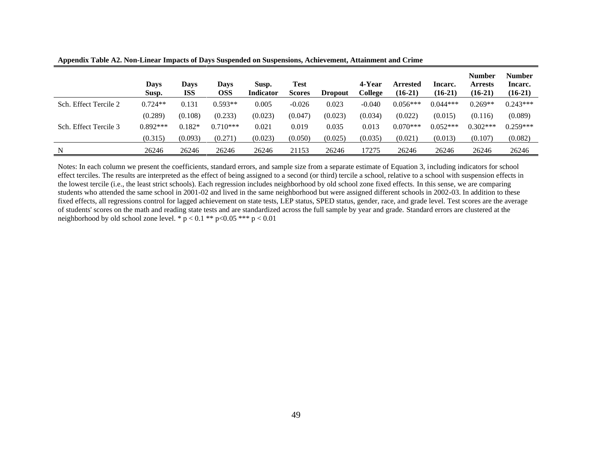|                       | <b>Days</b><br>Susp. | Days<br><b>ISS</b> | Days<br><b>OSS</b> | Susp.<br>Indicator | Test<br><b>Scores</b> | <b>Dropout</b> | 4-Year<br>College | Arrested<br>$(16-21)$ | Incarc.<br>$(16-21)$ | <b>Number</b><br>Arrests<br>$(16-21)$ | <b>Number</b><br>Incarc.<br>$(16-21)$ |
|-----------------------|----------------------|--------------------|--------------------|--------------------|-----------------------|----------------|-------------------|-----------------------|----------------------|---------------------------------------|---------------------------------------|
| Sch. Effect Tercile 2 | $0.724**$            | 0.131              | $0.593**$          | 0.005              | $-0.026$              | 0.023          | $-0.040$          | $0.056***$            | $0.044***$           | $0.269**$                             | $0.243***$                            |
|                       | (0.289)              | (0.108)            | (0.233)            | (0.023)            | (0.047)               | (0.023)        | (0.034)           | (0.022)               | (0.015)              | (0.116)                               | (0.089)                               |
| Sch. Effect Tercile 3 | $0.892***$           | $0.182*$           | $0.710***$         | 0.021              | 0.019                 | 0.035          | 0.013             | $0.070***$            | $0.052***$           | $0.302***$                            | $0.259***$                            |
|                       | (0.315)              | (0.093)            | (0.271)            | (0.023)            | (0.050)               | (0.025)        | (0.035)           | (0.021)               | (0.013)              | (0.107)                               | (0.082)                               |
| N                     | 26246                | 26246              | 26246              | 26246              | 21153                 | 26246          | 17275             | 26246                 | 26246                | 26246                                 | 26246                                 |

**Appendix Table A2. Non-Linear Impacts of Days Suspended on Suspensions, Achievement, Attainment and Crime**

Notes: In each column we present the coefficients, standard errors, and sample size from a separate estimate of Equation 3, including indicators for school effect terciles. The results are interpreted as the effect of being assigned to a second (or third) tercile a school, relative to a school with suspension effects in the lowest tercile (i.e., the least strict schools). Each regression includes neighborhood by old school zone fixed effects. In this sense, we are comparing students who attended the same school in 2001-02 and lived in the same neighborhood but were assigned different schools in 2002-03. In addition to these fixed effects, all regressions control for lagged achievement on state tests, LEP status, SPED status, gender, race, and grade level. Test scores are the average of students' scores on the math and reading state tests and are standardized across the full sample by year and grade. Standard errors are clustered at the neighborhood by old school zone level. \*  $p < 0.1$  \*\*  $p < 0.05$  \*\*\*  $p < 0.01$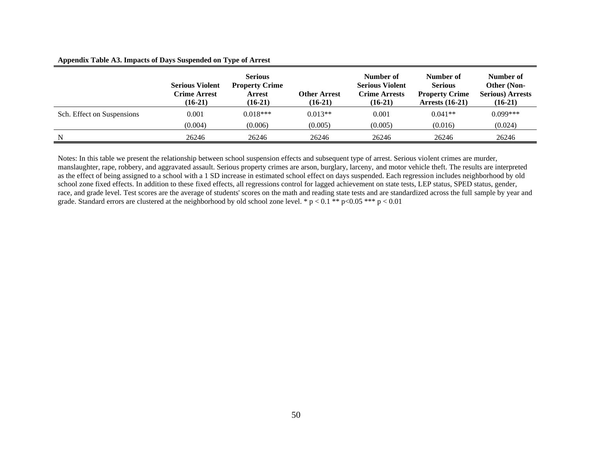#### **Appendix Table A3. Impacts of Days Suspended on Type of Arrest**

|                            | <b>Serious Violent</b><br><b>Crime Arrest</b><br>$(16-21)$ | <b>Serious</b><br><b>Property Crime</b><br>Arrest<br>$(16-21)$ | <b>Other Arrest</b><br>$(16-21)$ | Number of<br><b>Serious Violent</b><br><b>Crime Arrests</b><br>$(16-21)$ | Number of<br><b>Serious</b><br><b>Property Crime</b><br>Arrests $(16-21)$ | Number of<br>Other (Non-<br><b>Serious) Arrests</b><br>$(16-21)$ |
|----------------------------|------------------------------------------------------------|----------------------------------------------------------------|----------------------------------|--------------------------------------------------------------------------|---------------------------------------------------------------------------|------------------------------------------------------------------|
| Sch. Effect on Suspensions | 0.001                                                      | $0.018***$                                                     | $0.013**$                        | 0.001                                                                    | $0.041**$                                                                 | $0.099***$                                                       |
|                            | (0.004)                                                    | (0.006)                                                        | (0.005)                          | (0.005)                                                                  | (0.016)                                                                   | (0.024)                                                          |
| N                          | 26246                                                      | 26246                                                          | 26246                            | 26246                                                                    | 26246                                                                     | 26246                                                            |

Notes: In this table we present the relationship between school suspension effects and subsequent type of arrest. Serious violent crimes are murder, manslaughter, rape, robbery, and aggravated assault. Serious property crimes are arson, burglary, larceny, and motor vehicle theft. The results are interpreted as the effect of being assigned to a school with a 1 SD increase in estimated school effect on days suspended. Each regression includes neighborhood by old school zone fixed effects. In addition to these fixed effects, all regressions control for lagged achievement on state tests, LEP status, SPED status, gender, race, and grade level. Test scores are the average of students' scores on the math and reading state tests and are standardized across the full sample by year and grade. Standard errors are clustered at the neighborhood by old school zone level. \*  $p < 0.1$  \*\*  $p < 0.05$  \*\*\*  $p < 0.01$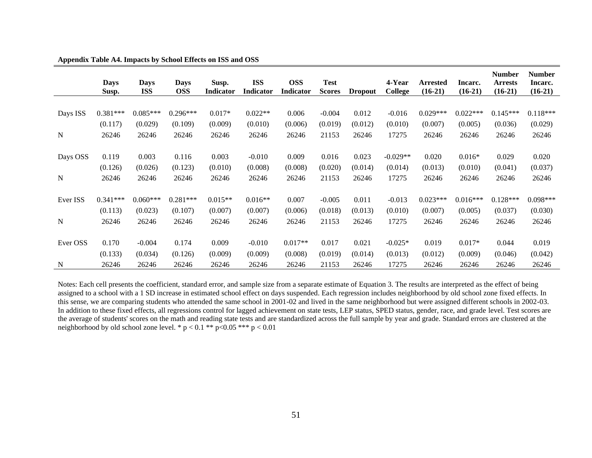|             | <b>Days</b><br>Susp. | <b>Days</b><br><b>ISS</b> | <b>Days</b><br><b>OSS</b> | Susp.<br><b>Indicator</b> | <b>ISS</b><br>Indicator | <b>OSS</b><br>Indicator | <b>Test</b><br><b>Scores</b> | <b>Dropout</b> | 4-Year<br><b>College</b> | <b>Arrested</b><br>$(16-21)$ | Incarc.<br>$(16-21)$ | <b>Number</b><br><b>Arrests</b><br>$(16-21)$ | <b>Number</b><br>Incarc.<br>$(16-21)$ |
|-------------|----------------------|---------------------------|---------------------------|---------------------------|-------------------------|-------------------------|------------------------------|----------------|--------------------------|------------------------------|----------------------|----------------------------------------------|---------------------------------------|
|             |                      |                           |                           |                           |                         |                         |                              |                |                          |                              |                      |                                              |                                       |
| Days ISS    | $0.381***$           | $0.085***$                | $0.296***$                | $0.017*$                  | $0.022**$               | 0.006                   | $-0.004$                     | 0.012          | $-0.016$                 | $0.029***$                   | $0.022***$           | $0.145***$                                   | $0.118***$                            |
|             | (0.117)              | (0.029)                   | (0.109)                   | (0.009)                   | (0.010)                 | (0.006)                 | (0.019)                      | (0.012)        | (0.010)                  | (0.007)                      | (0.005)              | (0.036)                                      | (0.029)                               |
| $\mathbf N$ | 26246                | 26246                     | 26246                     | 26246                     | 26246                   | 26246                   | 21153                        | 26246          | 17275                    | 26246                        | 26246                | 26246                                        | 26246                                 |
|             |                      |                           |                           |                           |                         |                         |                              |                |                          |                              |                      |                                              |                                       |
| Days OSS    | 0.119                | 0.003                     | 0.116                     | 0.003                     | $-0.010$                | 0.009                   | 0.016                        | 0.023          | $-0.029**$               | 0.020                        | $0.016*$             | 0.029                                        | 0.020                                 |
|             | (0.126)              | (0.026)                   | (0.123)                   | (0.010)                   | (0.008)                 | (0.008)                 | (0.020)                      | (0.014)        | (0.014)                  | (0.013)                      | (0.010)              | (0.041)                                      | (0.037)                               |
| $\mathbf N$ | 26246                | 26246                     | 26246                     | 26246                     | 26246                   | 26246                   | 21153                        | 26246          | 17275                    | 26246                        | 26246                | 26246                                        | 26246                                 |
|             |                      |                           |                           |                           |                         |                         |                              |                |                          |                              |                      |                                              |                                       |
| Ever ISS    | $0.341***$           | $0.060***$                | $0.281***$                | $0.015**$                 | $0.016**$               | 0.007                   | $-0.005$                     | 0.011          | $-0.013$                 | $0.023***$                   | $0.016***$           | $0.128***$                                   | $0.098***$                            |
|             | (0.113)              | (0.023)                   | (0.107)                   | (0.007)                   | (0.007)                 | (0.006)                 | (0.018)                      | (0.013)        | (0.010)                  | (0.007)                      | (0.005)              | (0.037)                                      | (0.030)                               |
| N           | 26246                | 26246                     | 26246                     | 26246                     | 26246                   | 26246                   | 21153                        | 26246          | 17275                    | 26246                        | 26246                | 26246                                        | 26246                                 |
|             |                      |                           |                           |                           |                         |                         |                              |                |                          |                              |                      |                                              |                                       |
| Ever OSS    | 0.170                | $-0.004$                  | 0.174                     | 0.009                     | $-0.010$                | $0.017**$               | 0.017                        | 0.021          | $-0.025*$                | 0.019                        | $0.017*$             | 0.044                                        | 0.019                                 |
|             | (0.133)              | (0.034)                   | (0.126)                   | (0.009)                   | (0.009)                 | (0.008)                 | (0.019)                      | (0.014)        | (0.013)                  | (0.012)                      | (0.009)              | (0.046)                                      | (0.042)                               |
| N           | 26246                | 26246                     | 26246                     | 26246                     | 26246                   | 26246                   | 21153                        | 26246          | 17275                    | 26246                        | 26246                | 26246                                        | 26246                                 |

**Appendix Table A4. Impacts by School Effects on ISS and OSS**

Notes: Each cell presents the coefficient, standard error, and sample size from a separate estimate of Equation 3. The results are interpreted as the effect of being assigned to a school with a 1 SD increase in estimated school effect on days suspended. Each regression includes neighborhood by old school zone fixed effects. In this sense, we are comparing students who attended the same school in 2001-02 and lived in the same neighborhood but were assigned different schools in 2002-03. In addition to these fixed effects, all regressions control for lagged achievement on state tests, LEP status, SPED status, gender, race, and grade level. Test scores are the average of students' scores on the math and reading state tests and are standardized across the full sample by year and grade. Standard errors are clustered at the neighborhood by old school zone level. \*  $p < 0.1$  \*\*  $p < 0.05$  \*\*\*  $p < 0.01$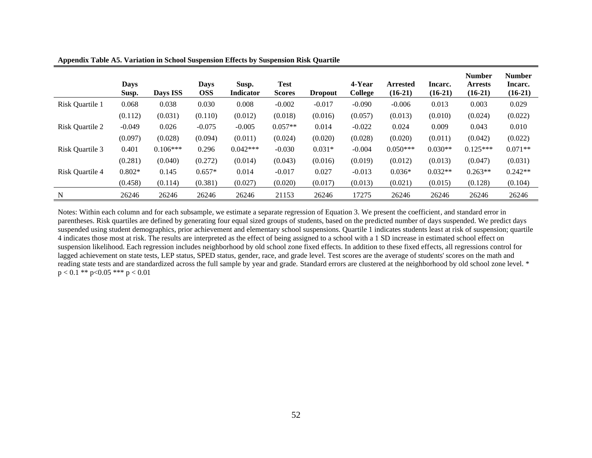|                 | <b>Days</b><br>Susp. | Days ISS   | Days<br><b>OSS</b> | Susp.<br><b>Indicator</b> | Test<br><b>Scores</b> | <b>Dropout</b> | 4-Year<br>College | <b>Arrested</b><br>$(16-21)$ | Incarc.<br>$(16-21)$ | <b>Number</b><br><b>Arrests</b><br>$(16-21)$ | <b>Number</b><br>Incarc.<br>$(16-21)$ |
|-----------------|----------------------|------------|--------------------|---------------------------|-----------------------|----------------|-------------------|------------------------------|----------------------|----------------------------------------------|---------------------------------------|
| Risk Quartile 1 | 0.068                | 0.038      | 0.030              | 0.008                     | $-0.002$              | $-0.017$       | $-0.090$          | $-0.006$                     | 0.013                | 0.003                                        | 0.029                                 |
|                 | (0.112)              | (0.031)    | (0.110)            | (0.012)                   | (0.018)               | (0.016)        | (0.057)           | (0.013)                      | (0.010)              | (0.024)                                      | (0.022)                               |
| Risk Quartile 2 | $-0.049$             | 0.026      | $-0.075$           | $-0.005$                  | $0.057**$             | 0.014          | $-0.022$          | 0.024                        | 0.009                | 0.043                                        | 0.010                                 |
|                 | (0.097)              | (0.028)    | (0.094)            | (0.011)                   | (0.024)               | (0.020)        | (0.028)           | (0.020)                      | (0.011)              | (0.042)                                      | (0.022)                               |
| Risk Quartile 3 | 0.401                | $0.106***$ | 0.296              | $0.042***$                | $-0.030$              | $0.031*$       | $-0.004$          | $0.050***$                   | $0.030**$            | $0.125***$                                   | $0.071**$                             |
|                 | (0.281)              | (0.040)    | (0.272)            | (0.014)                   | (0.043)               | (0.016)        | (0.019)           | (0.012)                      | (0.013)              | (0.047)                                      | (0.031)                               |
| Risk Quartile 4 | $0.802*$             | 0.145      | $0.657*$           | 0.014                     | $-0.017$              | 0.027          | $-0.013$          | $0.036*$                     | $0.032**$            | $0.263**$                                    | $0.242**$                             |
|                 | (0.458)              | (0.114)    | (0.381)            | (0.027)                   | (0.020)               | (0.017)        | (0.013)           | (0.021)                      | (0.015)              | (0.128)                                      | (0.104)                               |
| N               | 26246                | 26246      | 26246              | 26246                     | 21153                 | 26246          | 17275             | 26246                        | 26246                | 26246                                        | 26246                                 |

**Appendix Table A5. Variation in School Suspension Effects by Suspension Risk Quartile**

Notes: Within each column and for each subsample, we estimate a separate regression of Equation 3. We present the coefficient, and standard error in parentheses. Risk quartiles are defined by generating four equal sized groups of students, based on the predicted number of days suspended. We predict days suspended using student demographics, prior achievement and elementary school suspensions. Quartile 1 indicates students least at risk of suspension; quartile 4 indicates those most at risk. The results are interpreted as the effect of being assigned to a school with a 1 SD increase in estimated school effect on suspension likelihood. Each regression includes neighborhood by old school zone fixed effects. In addition to these fixed effects, all regressions control for lagged achievement on state tests, LEP status, SPED status, gender, race, and grade level. Test scores are the average of students' scores on the math and reading state tests and are standardized across the full sample by year and grade. Standard errors are clustered at the neighborhood by old school zone level. \*  $p < 0.1$  \*\*  $p < 0.05$  \*\*\*  $p < 0.01$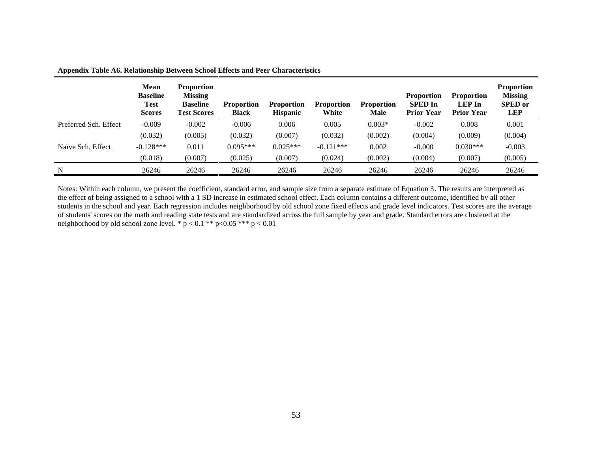|                       | <b>Mean</b><br><b>Baseline</b><br><b>Test</b><br><b>Scores</b> | <b>Proportion</b><br><b>Missing</b><br><b>Baseline</b><br><b>Test Scores</b> | <b>Proportion</b><br><b>Black</b> | <b>Proportion</b><br><b>Hispanic</b> | <b>Proportion</b><br>White | <b>Proportion</b><br>Male | <b>Proportion</b><br><b>SPED</b> In<br><b>Prior Year</b> | <b>Proportion</b><br><b>LEP</b> In<br><b>Prior Year</b> | <b>Proportion</b><br><b>Missing</b><br><b>SPED</b> or<br><b>LEP</b> |
|-----------------------|----------------------------------------------------------------|------------------------------------------------------------------------------|-----------------------------------|--------------------------------------|----------------------------|---------------------------|----------------------------------------------------------|---------------------------------------------------------|---------------------------------------------------------------------|
| Preferred Sch. Effect | $-0.009$                                                       | $-0.002$                                                                     | $-0.006$                          | 0.006                                | 0.005                      | $0.003*$                  | $-0.002$                                                 | 0.008                                                   | 0.001                                                               |
|                       | (0.032)                                                        | (0.005)                                                                      | (0.032)                           | (0.007)                              | (0.032)                    | (0.002)                   | (0.004)                                                  | (0.009)                                                 | (0.004)                                                             |
| Naïve Sch. Effect     | $-0.128***$                                                    | 0.011                                                                        | $0.095***$                        | $0.025***$                           | $-0.121***$                | 0.002                     | $-0.000$                                                 | $0.030***$                                              | $-0.003$                                                            |
|                       | (0.018)                                                        | (0.007)                                                                      | (0.025)                           | (0.007)                              | (0.024)                    | (0.002)                   | (0.004)                                                  | (0.007)                                                 | (0.005)                                                             |
| N                     | 26246                                                          | 26246                                                                        | 26246                             | 26246                                | 26246                      | 26246                     | 26246                                                    | 26246                                                   | 26246                                                               |

**Appendix Table A6. Relationship Between School Effects and Peer Characteristics**

Notes: Within each column, we present the coefficient, standard error, and sample size from a separate estimate of Equation 3. The results are interpreted as the effect of being assigned to a school with a 1 SD increase in estimated school effect. Each column contains a different outcome, identified by all other students in the school and year. Each regression includes neighborhood by old school zone fixed effects and grade level indicators. Test scores are the average of students' scores on the math and reading state tests and are standardized across the full sample by year and grade. Standard errors are clustered at the neighborhood by old school zone level. \*  $p < 0.1$  \*\*  $p < 0.05$  \*\*\*  $p < 0.01$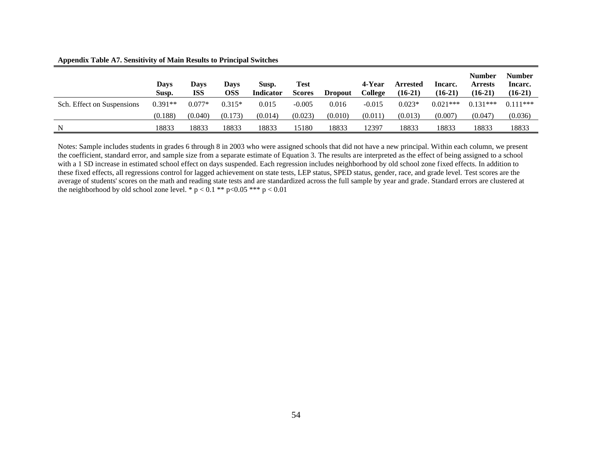**Appendix Table A7. Sensitivity of Main Results to Principal Switches**

|                            | Davs<br>Susp. | <b>Days</b><br><b>ISS</b> | Days<br>OSS | Susp.<br><b>Indicator</b> | <b>Test</b><br><b>Scores</b> | <b>Dropout</b> | 4-Year<br>College | <b>Arrested</b><br>$(16-21)$ | Incarc.<br>$(16-21)$ | <b>Number</b><br><b>Arrests</b><br>$(16-21)$ | <b>Number</b><br>Incarc.<br>$(16-21)$ |
|----------------------------|---------------|---------------------------|-------------|---------------------------|------------------------------|----------------|-------------------|------------------------------|----------------------|----------------------------------------------|---------------------------------------|
| Sch. Effect on Suspensions | $0.391**$     | $0.077*$                  | $0.315*$    | 0.015                     | $-0.005$                     | 0.016          | $-0.015$          | $0.023*$                     | $0.021***$           | $0.131***$                                   | $0.111***$                            |
|                            | (0.188)       | (0.040)                   | (0.173)     | (0.014)                   | (0.023)                      | (0.010)        | (0.011)           | (0.013)                      | (0.007)              | (0.047)                                      | (0.036)                               |
| N                          | 18833         | 18833                     | 18833       | 18833                     | 15180                        | 18833          | 12397             | 18833                        | 18833                | 18833                                        | 18833                                 |

Notes: Sample includes students in grades 6 through 8 in 2003 who were assigned schools that did not have a new principal. Within each column, we present the coefficient, standard error, and sample size from a separate estimate of Equation 3. The results are interpreted as the effect of being assigned to a school with a 1 SD increase in estimated school effect on days suspended. Each regression includes neighborhood by old school zone fixed effects. In addition to these fixed effects, all regressions control for lagged achievement on state tests, LEP status, SPED status, gender, race, and grade level. Test scores are the average of students' scores on the math and reading state tests and are standardized across the full sample by year and grade. Standard errors are clustered at the neighborhood by old school zone level. \*  $p < 0.1$  \*\*  $p < 0.05$  \*\*\*  $p < 0.01$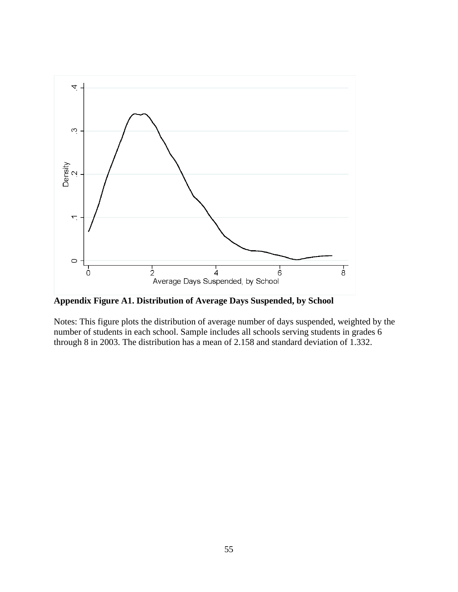

Notes: This figure plots the distribution of average number of days suspended, weighted by the number of students in each school. Sample includes all schools serving students in grades 6 through 8 in 2003. The distribution has a mean of 2.158 and standard deviation of 1.332.